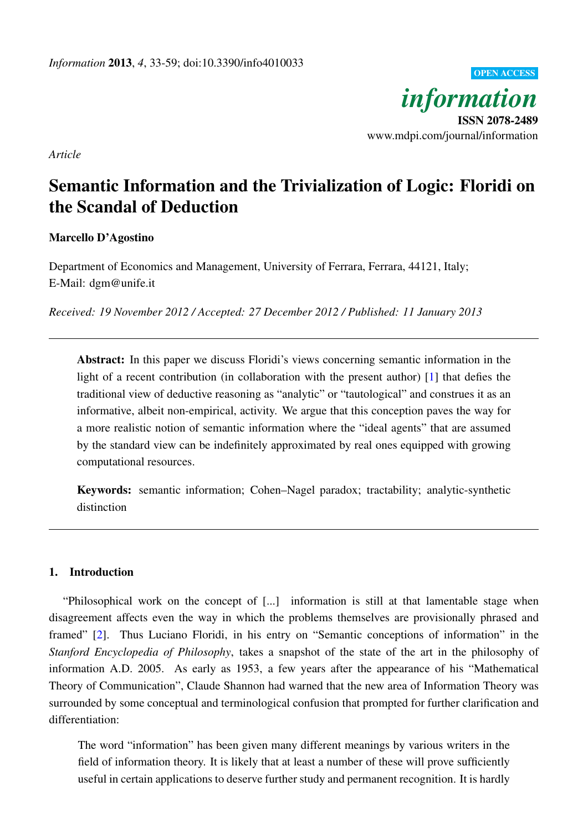OPEN ACCESS *information* ISSN 2078-2489 www.mdpi.com/journal/information

*Article*

# Semantic Information and the Trivialization of Logic: Floridi on the Scandal of Deduction

# Marcello D'Agostino

Department of Economics and Management, University of Ferrara, Ferrara, 44121, Italy; E-Mail: dgm@unife.it

*Received: 19 November 2012 / Accepted: 27 December 2012 / Published: 11 January 2013*

Abstract: In this paper we discuss Floridi's views concerning semantic information in the light of a recent contribution (in collaboration with the present author) [\[1\]](#page-24-0) that defies the traditional view of deductive reasoning as "analytic" or "tautological" and construes it as an informative, albeit non-empirical, activity. We argue that this conception paves the way for a more realistic notion of semantic information where the "ideal agents" that are assumed by the standard view can be indefinitely approximated by real ones equipped with growing computational resources.

Keywords: semantic information; Cohen–Nagel paradox; tractability; analytic-synthetic distinction

# 1. Introduction

"Philosophical work on the concept of [...] information is still at that lamentable stage when disagreement affects even the way in which the problems themselves are provisionally phrased and framed" [\[2\]](#page-24-1). Thus Luciano Floridi, in his entry on "Semantic conceptions of information" in the *Stanford Encyclopedia of Philosophy*, takes a snapshot of the state of the art in the philosophy of information A.D. 2005. As early as 1953, a few years after the appearance of his "Mathematical Theory of Communication", Claude Shannon had warned that the new area of Information Theory was surrounded by some conceptual and terminological confusion that prompted for further clarification and differentiation:

The word "information" has been given many different meanings by various writers in the field of information theory. It is likely that at least a number of these will prove sufficiently useful in certain applications to deserve further study and permanent recognition. It is hardly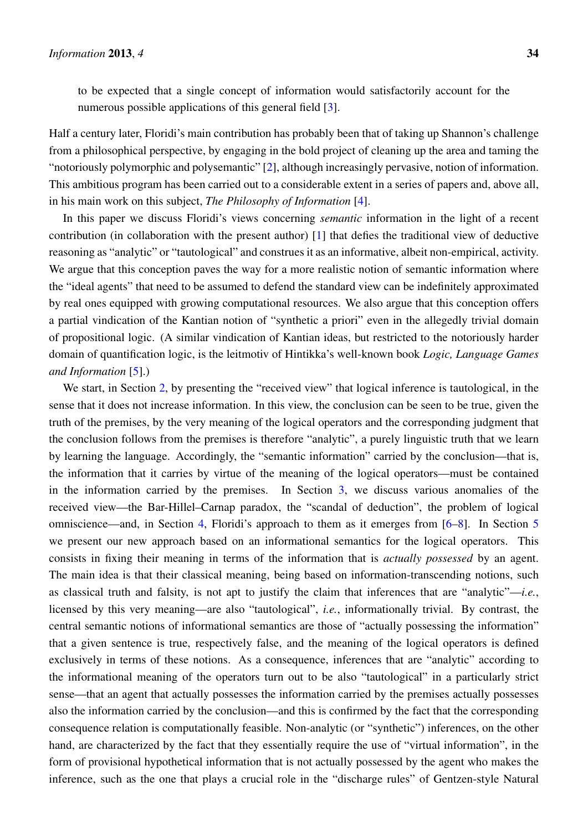Half a century later, Floridi's main contribution has probably been that of taking up Shannon's challenge from a philosophical perspective, by engaging in the bold project of cleaning up the area and taming the "notoriously polymorphic and polysemantic" [\[2\]](#page-24-1), although increasingly pervasive, notion of information. This ambitious program has been carried out to a considerable extent in a series of papers and, above all, in his main work on this subject, *The Philosophy of Information* [\[4\]](#page-24-3).

In this paper we discuss Floridi's views concerning *semantic* information in the light of a recent contribution (in collaboration with the present author) [\[1\]](#page-24-0) that defies the traditional view of deductive reasoning as "analytic" or "tautological" and construes it as an informative, albeit non-empirical, activity. We argue that this conception paves the way for a more realistic notion of semantic information where the "ideal agents" that need to be assumed to defend the standard view can be indefinitely approximated by real ones equipped with growing computational resources. We also argue that this conception offers a partial vindication of the Kantian notion of "synthetic a priori" even in the allegedly trivial domain of propositional logic. (A similar vindication of Kantian ideas, but restricted to the notoriously harder domain of quantification logic, is the leitmotiv of Hintikka's well-known book *Logic, Language Games and Information* [\[5\]](#page-24-4).)

We start, in Section [2,](#page-2-0) by presenting the "received view" that logical inference is tautological, in the sense that it does not increase information. In this view, the conclusion can be seen to be true, given the truth of the premises, by the very meaning of the logical operators and the corresponding judgment that the conclusion follows from the premises is therefore "analytic", a purely linguistic truth that we learn by learning the language. Accordingly, the "semantic information" carried by the conclusion—that is, the information that it carries by virtue of the meaning of the logical operators—must be contained in the information carried by the premises. In Section [3,](#page-6-0) we discuss various anomalies of the received view—the Bar-Hillel–Carnap paradox, the "scandal of deduction", the problem of logical omniscience—and, in Section [4,](#page-11-0) Floridi's approach to them as it emerges from [\[6–](#page-24-5)[8\]](#page-24-6). In Section [5](#page-16-0) we present our new approach based on an informational semantics for the logical operators. This consists in fixing their meaning in terms of the information that is *actually possessed* by an agent. The main idea is that their classical meaning, being based on information-transcending notions, such as classical truth and falsity, is not apt to justify the claim that inferences that are "analytic"—*i.e.*, licensed by this very meaning—are also "tautological", *i.e.*, informationally trivial. By contrast, the central semantic notions of informational semantics are those of "actually possessing the information" that a given sentence is true, respectively false, and the meaning of the logical operators is defined exclusively in terms of these notions. As a consequence, inferences that are "analytic" according to the informational meaning of the operators turn out to be also "tautological" in a particularly strict sense—that an agent that actually possesses the information carried by the premises actually possesses also the information carried by the conclusion—and this is confirmed by the fact that the corresponding consequence relation is computationally feasible. Non-analytic (or "synthetic") inferences, on the other hand, are characterized by the fact that they essentially require the use of "virtual information", in the form of provisional hypothetical information that is not actually possessed by the agent who makes the inference, such as the one that plays a crucial role in the "discharge rules" of Gentzen-style Natural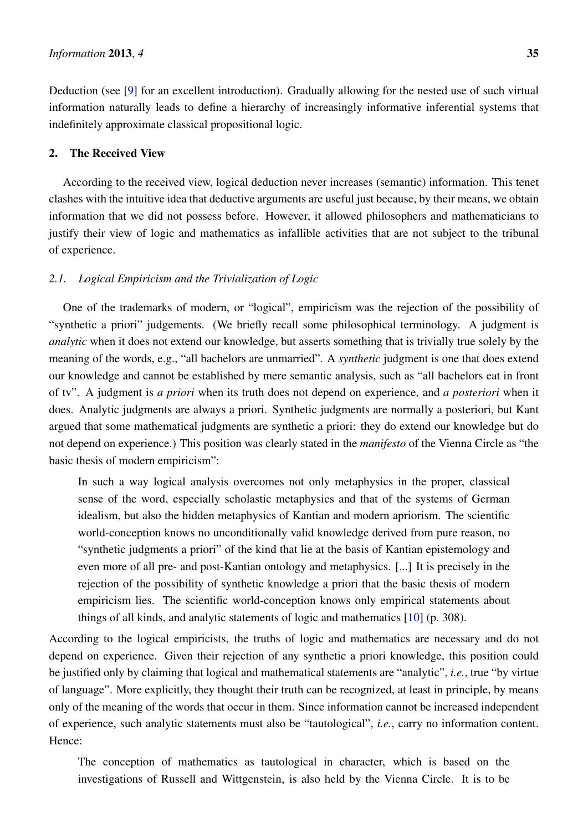Deduction (see [\[9\]](#page-24-7) for an excellent introduction). Gradually allowing for the nested use of such virtual information naturally leads to define a hierarchy of increasingly informative inferential systems that indefinitely approximate classical propositional logic.

## <span id="page-2-0"></span>2. The Received View

According to the received view, logical deduction never increases (semantic) information. This tenet clashes with the intuitive idea that deductive arguments are useful just because, by their means, we obtain information that we did not possess before. However, it allowed philosophers and mathematicians to justify their view of logic and mathematics as infallible activities that are not subject to the tribunal of experience.

## <span id="page-2-1"></span>*2.1. Logical Empiricism and the Trivialization of Logic*

One of the trademarks of modern, or "logical", empiricism was the rejection of the possibility of "synthetic a priori" judgements. (We briefly recall some philosophical terminology. A judgment is *analytic* when it does not extend our knowledge, but asserts something that is trivially true solely by the meaning of the words, e.g., "all bachelors are unmarried". A *synthetic* judgment is one that does extend our knowledge and cannot be established by mere semantic analysis, such as "all bachelors eat in front of tv". A judgment is *a priori* when its truth does not depend on experience, and *a posteriori* when it does. Analytic judgments are always a priori. Synthetic judgments are normally a posteriori, but Kant argued that some mathematical judgments are synthetic a priori: they do extend our knowledge but do not depend on experience.) This position was clearly stated in the *manifesto* of the Vienna Circle as "the basic thesis of modern empiricism":

In such a way logical analysis overcomes not only metaphysics in the proper, classical sense of the word, especially scholastic metaphysics and that of the systems of German idealism, but also the hidden metaphysics of Kantian and modern apriorism. The scientific world-conception knows no unconditionally valid knowledge derived from pure reason, no "synthetic judgments a priori" of the kind that lie at the basis of Kantian epistemology and even more of all pre- and post-Kantian ontology and metaphysics. [...] It is precisely in the rejection of the possibility of synthetic knowledge a priori that the basic thesis of modern empiricism lies. The scientific world-conception knows only empirical statements about things of all kinds, and analytic statements of logic and mathematics [\[10\]](#page-25-0) (p. 308).

According to the logical empiricists, the truths of logic and mathematics are necessary and do not depend on experience. Given their rejection of any synthetic a priori knowledge, this position could be justified only by claiming that logical and mathematical statements are "analytic", *i.e.*, true "by virtue of language". More explicitly, they thought their truth can be recognized, at least in principle, by means only of the meaning of the words that occur in them. Since information cannot be increased independent of experience, such analytic statements must also be "tautological", *i.e.*, carry no information content. Hence:

The conception of mathematics as tautological in character, which is based on the investigations of Russell and Wittgenstein, is also held by the Vienna Circle. It is to be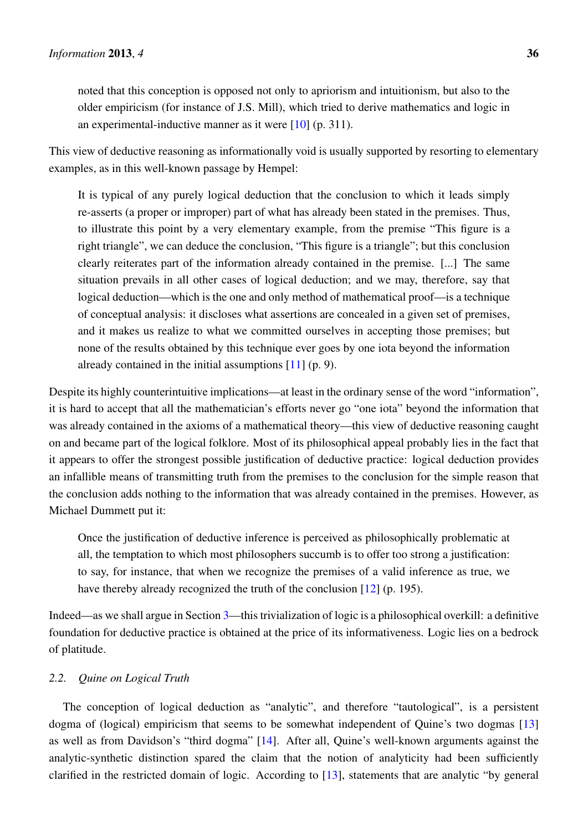noted that this conception is opposed not only to apriorism and intuitionism, but also to the older empiricism (for instance of J.S. Mill), which tried to derive mathematics and logic in an experimental-inductive manner as it were [\[10\]](#page-25-0) (p. 311).

This view of deductive reasoning as informationally void is usually supported by resorting to elementary examples, as in this well-known passage by Hempel:

It is typical of any purely logical deduction that the conclusion to which it leads simply re-asserts (a proper or improper) part of what has already been stated in the premises. Thus, to illustrate this point by a very elementary example, from the premise "This figure is a right triangle", we can deduce the conclusion, "This figure is a triangle"; but this conclusion clearly reiterates part of the information already contained in the premise. [...] The same situation prevails in all other cases of logical deduction; and we may, therefore, say that logical deduction—which is the one and only method of mathematical proof—is a technique of conceptual analysis: it discloses what assertions are concealed in a given set of premises, and it makes us realize to what we committed ourselves in accepting those premises; but none of the results obtained by this technique ever goes by one iota beyond the information already contained in the initial assumptions [\[11\]](#page-25-1) (p. 9).

Despite its highly counterintuitive implications—at least in the ordinary sense of the word "information", it is hard to accept that all the mathematician's efforts never go "one iota" beyond the information that was already contained in the axioms of a mathematical theory—this view of deductive reasoning caught on and became part of the logical folklore. Most of its philosophical appeal probably lies in the fact that it appears to offer the strongest possible justification of deductive practice: logical deduction provides an infallible means of transmitting truth from the premises to the conclusion for the simple reason that the conclusion adds nothing to the information that was already contained in the premises. However, as Michael Dummett put it:

Once the justification of deductive inference is perceived as philosophically problematic at all, the temptation to which most philosophers succumb is to offer too strong a justification: to say, for instance, that when we recognize the premises of a valid inference as true, we have thereby already recognized the truth of the conclusion [\[12\]](#page-25-2) (p. 195).

Indeed—as we shall argue in Section [3—](#page-6-0)this trivialization of logic is a philosophical overkill: a definitive foundation for deductive practice is obtained at the price of its informativeness. Logic lies on a bedrock of platitude.

# <span id="page-3-0"></span>*2.2. Quine on Logical Truth*

The conception of logical deduction as "analytic", and therefore "tautological", is a persistent dogma of (logical) empiricism that seems to be somewhat independent of Quine's two dogmas [\[13\]](#page-25-3) as well as from Davidson's "third dogma" [\[14\]](#page-25-4). After all, Quine's well-known arguments against the analytic-synthetic distinction spared the claim that the notion of analyticity had been sufficiently clarified in the restricted domain of logic. According to [\[13\]](#page-25-3), statements that are analytic "by general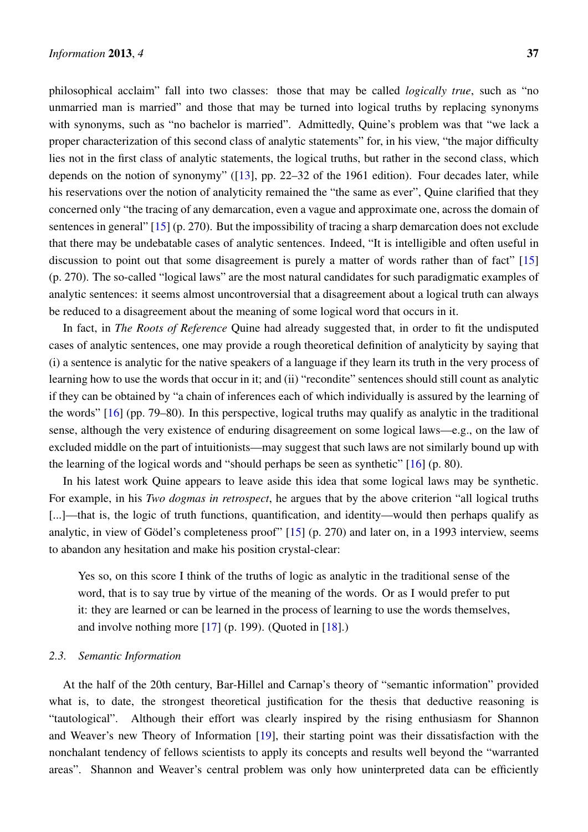philosophical acclaim" fall into two classes: those that may be called *logically true*, such as "no unmarried man is married" and those that may be turned into logical truths by replacing synonyms with synonyms, such as "no bachelor is married". Admittedly, Quine's problem was that "we lack a proper characterization of this second class of analytic statements" for, in his view, "the major difficulty lies not in the first class of analytic statements, the logical truths, but rather in the second class, which depends on the notion of synonymy" ([\[13\]](#page-25-3), pp. 22–32 of the 1961 edition). Four decades later, while his reservations over the notion of analyticity remained the "the same as ever", Quine clarified that they concerned only "the tracing of any demarcation, even a vague and approximate one, across the domain of sentences in general" [\[15\]](#page-25-5) (p. 270). But the impossibility of tracing a sharp demarcation does not exclude that there may be undebatable cases of analytic sentences. Indeed, "It is intelligible and often useful in discussion to point out that some disagreement is purely a matter of words rather than of fact" [\[15\]](#page-25-5) (p. 270). The so-called "logical laws" are the most natural candidates for such paradigmatic examples of analytic sentences: it seems almost uncontroversial that a disagreement about a logical truth can always be reduced to a disagreement about the meaning of some logical word that occurs in it.

In fact, in *The Roots of Reference* Quine had already suggested that, in order to fit the undisputed cases of analytic sentences, one may provide a rough theoretical definition of analyticity by saying that (i) a sentence is analytic for the native speakers of a language if they learn its truth in the very process of learning how to use the words that occur in it; and (ii) "recondite" sentences should still count as analytic if they can be obtained by "a chain of inferences each of which individually is assured by the learning of the words" [\[16\]](#page-25-6) (pp. 79–80). In this perspective, logical truths may qualify as analytic in the traditional sense, although the very existence of enduring disagreement on some logical laws—e.g., on the law of excluded middle on the part of intuitionists—may suggest that such laws are not similarly bound up with the learning of the logical words and "should perhaps be seen as synthetic" [\[16\]](#page-25-6) (p. 80).

In his latest work Quine appears to leave aside this idea that some logical laws may be synthetic. For example, in his *Two dogmas in retrospect*, he argues that by the above criterion "all logical truths [...]—that is, the logic of truth functions, quantification, and identity—would then perhaps qualify as analytic, in view of Gödel's completeness proof"  $[15]$  $[15]$  (p. 270) and later on, in a 1993 interview, seems to abandon any hesitation and make his position crystal-clear:

Yes so, on this score I think of the truths of logic as analytic in the traditional sense of the word, that is to say true by virtue of the meaning of the words. Or as I would prefer to put it: they are learned or can be learned in the process of learning to use the words themselves, and involve nothing more  $[17]$  (p. 199). (Quoted in  $[18]$ .)

## <span id="page-4-0"></span>*2.3. Semantic Information*

At the half of the 20th century, Bar-Hillel and Carnap's theory of "semantic information" provided what is, to date, the strongest theoretical justification for the thesis that deductive reasoning is "tautological". Although their effort was clearly inspired by the rising enthusiasm for Shannon and Weaver's new Theory of Information [\[19\]](#page-25-9), their starting point was their dissatisfaction with the nonchalant tendency of fellows scientists to apply its concepts and results well beyond the "warranted areas". Shannon and Weaver's central problem was only how uninterpreted data can be efficiently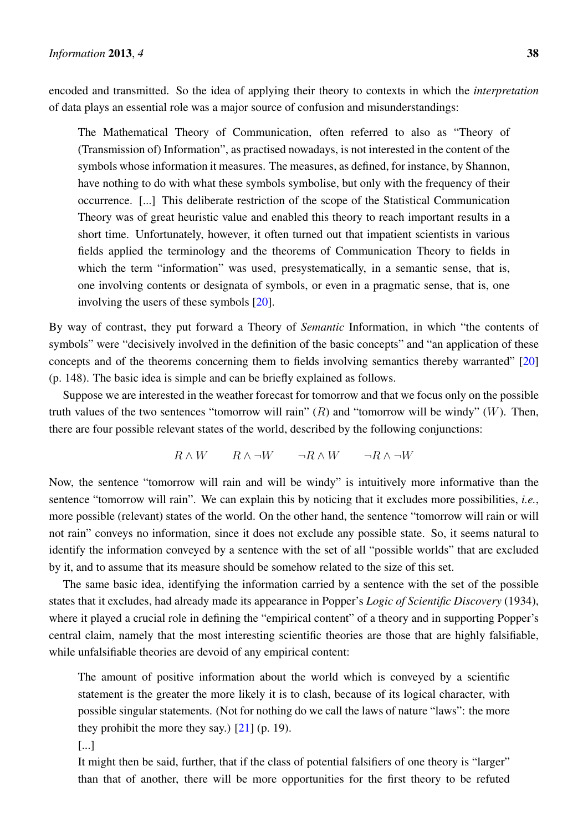encoded and transmitted. So the idea of applying their theory to contexts in which the *interpretation* of data plays an essential role was a major source of confusion and misunderstandings:

The Mathematical Theory of Communication, often referred to also as "Theory of (Transmission of) Information", as practised nowadays, is not interested in the content of the symbols whose information it measures. The measures, as defined, for instance, by Shannon, have nothing to do with what these symbols symbolise, but only with the frequency of their occurrence. [...] This deliberate restriction of the scope of the Statistical Communication Theory was of great heuristic value and enabled this theory to reach important results in a short time. Unfortunately, however, it often turned out that impatient scientists in various fields applied the terminology and the theorems of Communication Theory to fields in which the term "information" was used, presystematically, in a semantic sense, that is, one involving contents or designata of symbols, or even in a pragmatic sense, that is, one involving the users of these symbols [\[20\]](#page-25-10).

By way of contrast, they put forward a Theory of *Semantic* Information, in which "the contents of symbols" were "decisively involved in the definition of the basic concepts" and "an application of these concepts and of the theorems concerning them to fields involving semantics thereby warranted" [\[20\]](#page-25-10) (p. 148). The basic idea is simple and can be briefly explained as follows.

Suppose we are interested in the weather forecast for tomorrow and that we focus only on the possible truth values of the two sentences "tomorrow will rain"  $(R)$  and "tomorrow will be windy"  $(W)$ . Then, there are four possible relevant states of the world, described by the following conjunctions:

$$
R\wedge W \qquad R\wedge\neg W \qquad \neg R\wedge W \qquad \neg R\wedge\neg W
$$

Now, the sentence "tomorrow will rain and will be windy" is intuitively more informative than the sentence "tomorrow will rain". We can explain this by noticing that it excludes more possibilities, *i.e.*, more possible (relevant) states of the world. On the other hand, the sentence "tomorrow will rain or will not rain" conveys no information, since it does not exclude any possible state. So, it seems natural to identify the information conveyed by a sentence with the set of all "possible worlds" that are excluded by it, and to assume that its measure should be somehow related to the size of this set.

The same basic idea, identifying the information carried by a sentence with the set of the possible states that it excludes, had already made its appearance in Popper's *Logic of Scientific Discovery* (1934), where it played a crucial role in defining the "empirical content" of a theory and in supporting Popper's central claim, namely that the most interesting scientific theories are those that are highly falsifiable, while unfalsifiable theories are devoid of any empirical content:

The amount of positive information about the world which is conveyed by a scientific statement is the greater the more likely it is to clash, because of its logical character, with possible singular statements. (Not for nothing do we call the laws of nature "laws": the more they prohibit the more they say.)  $[21]$  (p. 19).

It might then be said, further, that if the class of potential falsifiers of one theory is "larger" than that of another, there will be more opportunities for the first theory to be refuted

<sup>[...]</sup>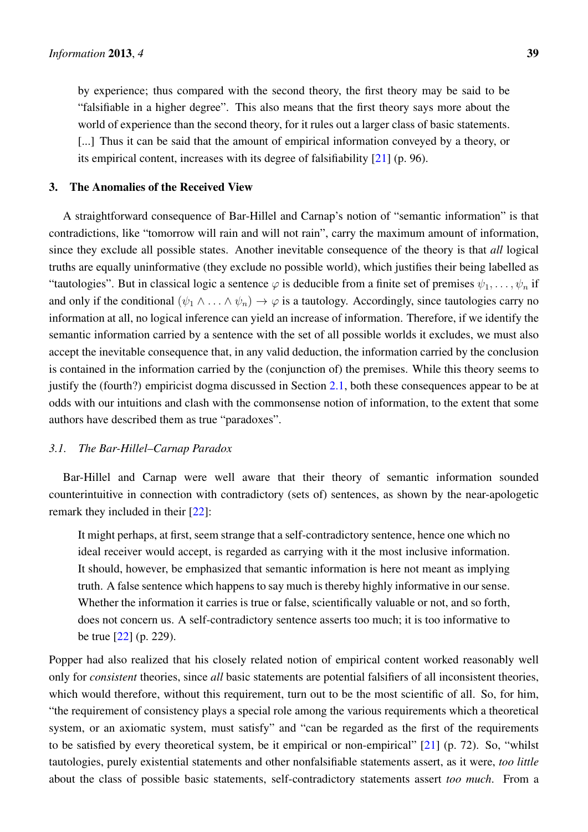by experience; thus compared with the second theory, the first theory may be said to be "falsifiable in a higher degree". This also means that the first theory says more about the world of experience than the second theory, for it rules out a larger class of basic statements. [...] Thus it can be said that the amount of empirical information conveyed by a theory, or its empirical content, increases with its degree of falsifiability [\[21\]](#page-25-11) (p. 96).

#### <span id="page-6-0"></span>3. The Anomalies of the Received View

A straightforward consequence of Bar-Hillel and Carnap's notion of "semantic information" is that contradictions, like "tomorrow will rain and will not rain", carry the maximum amount of information, since they exclude all possible states. Another inevitable consequence of the theory is that *all* logical truths are equally uninformative (they exclude no possible world), which justifies their being labelled as "tautologies". But in classical logic a sentence  $\varphi$  is deducible from a finite set of premises  $\psi_1, \ldots, \psi_n$  if and only if the conditional  $(\psi_1 \wedge \ldots \wedge \psi_n) \rightarrow \varphi$  is a tautology. Accordingly, since tautologies carry no information at all, no logical inference can yield an increase of information. Therefore, if we identify the semantic information carried by a sentence with the set of all possible worlds it excludes, we must also accept the inevitable consequence that, in any valid deduction, the information carried by the conclusion is contained in the information carried by the (conjunction of) the premises. While this theory seems to justify the (fourth?) empiricist dogma discussed in Section [2.1,](#page-2-1) both these consequences appear to be at odds with our intuitions and clash with the commonsense notion of information, to the extent that some authors have described them as true "paradoxes".

## *3.1. The Bar-Hillel–Carnap Paradox*

Bar-Hillel and Carnap were well aware that their theory of semantic information sounded counterintuitive in connection with contradictory (sets of) sentences, as shown by the near-apologetic remark they included in their [\[22\]](#page-25-12):

It might perhaps, at first, seem strange that a self-contradictory sentence, hence one which no ideal receiver would accept, is regarded as carrying with it the most inclusive information. It should, however, be emphasized that semantic information is here not meant as implying truth. A false sentence which happens to say much is thereby highly informative in our sense. Whether the information it carries is true or false, scientifically valuable or not, and so forth, does not concern us. A self-contradictory sentence asserts too much; it is too informative to be true [\[22\]](#page-25-12) (p. 229).

Popper had also realized that his closely related notion of empirical content worked reasonably well only for *consistent* theories, since *all* basic statements are potential falsifiers of all inconsistent theories, which would therefore, without this requirement, turn out to be the most scientific of all. So, for him, "the requirement of consistency plays a special role among the various requirements which a theoretical system, or an axiomatic system, must satisfy" and "can be regarded as the first of the requirements to be satisfied by every theoretical system, be it empirical or non-empirical" [\[21\]](#page-25-11) (p. 72). So, "whilst tautologies, purely existential statements and other nonfalsifiable statements assert, as it were, *too little* about the class of possible basic statements, self-contradictory statements assert *too much*. From a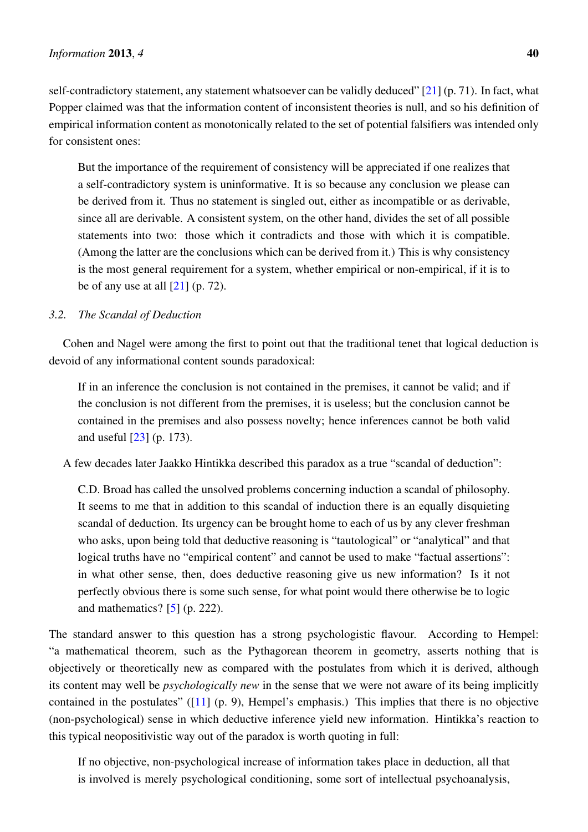self-contradictory statement, any statement whatsoever can be validly deduced"  $[21]$  (p. 71). In fact, what Popper claimed was that the information content of inconsistent theories is null, and so his definition of empirical information content as monotonically related to the set of potential falsifiers was intended only for consistent ones:

But the importance of the requirement of consistency will be appreciated if one realizes that a self-contradictory system is uninformative. It is so because any conclusion we please can be derived from it. Thus no statement is singled out, either as incompatible or as derivable, since all are derivable. A consistent system, on the other hand, divides the set of all possible statements into two: those which it contradicts and those with which it is compatible. (Among the latter are the conclusions which can be derived from it.) This is why consistency is the most general requirement for a system, whether empirical or non-empirical, if it is to be of any use at all  $[21]$  (p. 72).

# *3.2. The Scandal of Deduction*

Cohen and Nagel were among the first to point out that the traditional tenet that logical deduction is devoid of any informational content sounds paradoxical:

If in an inference the conclusion is not contained in the premises, it cannot be valid; and if the conclusion is not different from the premises, it is useless; but the conclusion cannot be contained in the premises and also possess novelty; hence inferences cannot be both valid and useful [\[23\]](#page-25-13) (p. 173).

A few decades later Jaakko Hintikka described this paradox as a true "scandal of deduction":

C.D. Broad has called the unsolved problems concerning induction a scandal of philosophy. It seems to me that in addition to this scandal of induction there is an equally disquieting scandal of deduction. Its urgency can be brought home to each of us by any clever freshman who asks, upon being told that deductive reasoning is "tautological" or "analytical" and that logical truths have no "empirical content" and cannot be used to make "factual assertions": in what other sense, then, does deductive reasoning give us new information? Is it not perfectly obvious there is some such sense, for what point would there otherwise be to logic and mathematics?  $[5]$  (p. 222).

The standard answer to this question has a strong psychologistic flavour. According to Hempel: "a mathematical theorem, such as the Pythagorean theorem in geometry, asserts nothing that is objectively or theoretically new as compared with the postulates from which it is derived, although its content may well be *psychologically new* in the sense that we were not aware of its being implicitly contained in the postulates" ([\[11\]](#page-25-1) (p. 9), Hempel's emphasis.) This implies that there is no objective (non-psychological) sense in which deductive inference yield new information. Hintikka's reaction to this typical neopositivistic way out of the paradox is worth quoting in full:

If no objective, non-psychological increase of information takes place in deduction, all that is involved is merely psychological conditioning, some sort of intellectual psychoanalysis,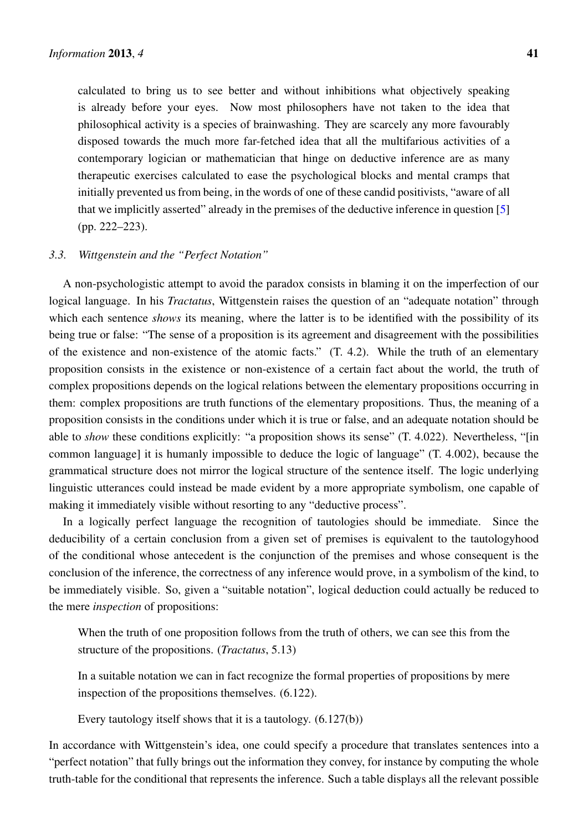calculated to bring us to see better and without inhibitions what objectively speaking is already before your eyes. Now most philosophers have not taken to the idea that philosophical activity is a species of brainwashing. They are scarcely any more favourably disposed towards the much more far-fetched idea that all the multifarious activities of a contemporary logician or mathematician that hinge on deductive inference are as many therapeutic exercises calculated to ease the psychological blocks and mental cramps that initially prevented us from being, in the words of one of these candid positivists, "aware of all that we implicitly asserted" already in the premises of the deductive inference in question [\[5\]](#page-24-4) (pp. 222–223).

#### *3.3. Wittgenstein and the "Perfect Notation"*

A non-psychologistic attempt to avoid the paradox consists in blaming it on the imperfection of our logical language. In his *Tractatus*, Wittgenstein raises the question of an "adequate notation" through which each sentence *shows* its meaning, where the latter is to be identified with the possibility of its being true or false: "The sense of a proposition is its agreement and disagreement with the possibilities of the existence and non-existence of the atomic facts." (T. 4.2). While the truth of an elementary proposition consists in the existence or non-existence of a certain fact about the world, the truth of complex propositions depends on the logical relations between the elementary propositions occurring in them: complex propositions are truth functions of the elementary propositions. Thus, the meaning of a proposition consists in the conditions under which it is true or false, and an adequate notation should be able to *show* these conditions explicitly: "a proposition shows its sense" (T. 4.022). Nevertheless, "[in common language] it is humanly impossible to deduce the logic of language" (T. 4.002), because the grammatical structure does not mirror the logical structure of the sentence itself. The logic underlying linguistic utterances could instead be made evident by a more appropriate symbolism, one capable of making it immediately visible without resorting to any "deductive process".

In a logically perfect language the recognition of tautologies should be immediate. Since the deducibility of a certain conclusion from a given set of premises is equivalent to the tautologyhood of the conditional whose antecedent is the conjunction of the premises and whose consequent is the conclusion of the inference, the correctness of any inference would prove, in a symbolism of the kind, to be immediately visible. So, given a "suitable notation", logical deduction could actually be reduced to the mere *inspection* of propositions:

When the truth of one proposition follows from the truth of others, we can see this from the structure of the propositions. (*Tractatus*, 5.13)

In a suitable notation we can in fact recognize the formal properties of propositions by mere inspection of the propositions themselves. (6.122).

Every tautology itself shows that it is a tautology. (6.127(b))

In accordance with Wittgenstein's idea, one could specify a procedure that translates sentences into a "perfect notation" that fully brings out the information they convey, for instance by computing the whole truth-table for the conditional that represents the inference. Such a table displays all the relevant possible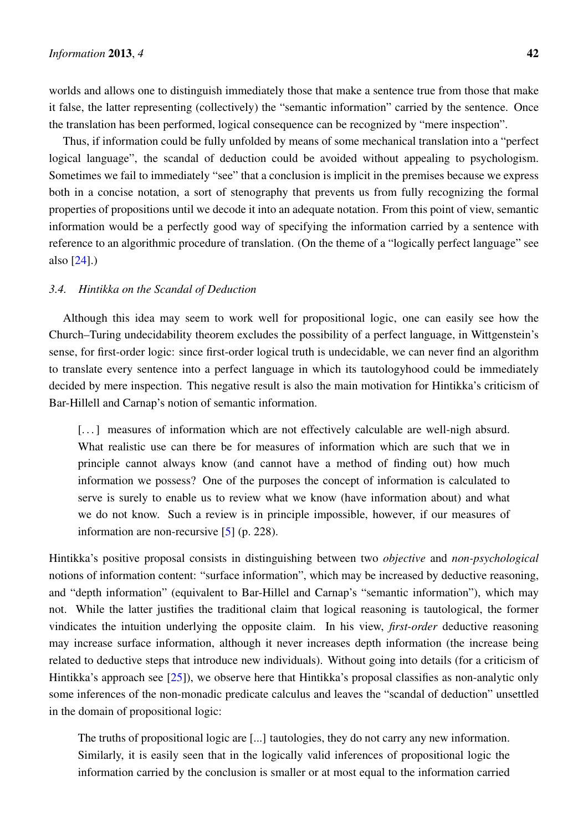worlds and allows one to distinguish immediately those that make a sentence true from those that make it false, the latter representing (collectively) the "semantic information" carried by the sentence. Once the translation has been performed, logical consequence can be recognized by "mere inspection".

Thus, if information could be fully unfolded by means of some mechanical translation into a "perfect logical language", the scandal of deduction could be avoided without appealing to psychologism. Sometimes we fail to immediately "see" that a conclusion is implicit in the premises because we express both in a concise notation, a sort of stenography that prevents us from fully recognizing the formal properties of propositions until we decode it into an adequate notation. From this point of view, semantic information would be a perfectly good way of specifying the information carried by a sentence with reference to an algorithmic procedure of translation. (On the theme of a "logically perfect language" see also [\[24\]](#page-25-14).)

## *3.4. Hintikka on the Scandal of Deduction*

Although this idea may seem to work well for propositional logic, one can easily see how the Church–Turing undecidability theorem excludes the possibility of a perfect language, in Wittgenstein's sense, for first-order logic: since first-order logical truth is undecidable, we can never find an algorithm to translate every sentence into a perfect language in which its tautologyhood could be immediately decided by mere inspection. This negative result is also the main motivation for Hintikka's criticism of Bar-Hillell and Carnap's notion of semantic information.

[...] measures of information which are not effectively calculable are well-nigh absurd. What realistic use can there be for measures of information which are such that we in principle cannot always know (and cannot have a method of finding out) how much information we possess? One of the purposes the concept of information is calculated to serve is surely to enable us to review what we know (have information about) and what we do not know. Such a review is in principle impossible, however, if our measures of information are non-recursive [\[5\]](#page-24-4) (p. 228).

Hintikka's positive proposal consists in distinguishing between two *objective* and *non-psychological* notions of information content: "surface information", which may be increased by deductive reasoning, and "depth information" (equivalent to Bar-Hillel and Carnap's "semantic information"), which may not. While the latter justifies the traditional claim that logical reasoning is tautological, the former vindicates the intuition underlying the opposite claim. In his view, *first-order* deductive reasoning may increase surface information, although it never increases depth information (the increase being related to deductive steps that introduce new individuals). Without going into details (for a criticism of Hintikka's approach see [\[25\]](#page-25-15)), we observe here that Hintikka's proposal classifies as non-analytic only some inferences of the non-monadic predicate calculus and leaves the "scandal of deduction" unsettled in the domain of propositional logic:

The truths of propositional logic are [...] tautologies, they do not carry any new information. Similarly, it is easily seen that in the logically valid inferences of propositional logic the information carried by the conclusion is smaller or at most equal to the information carried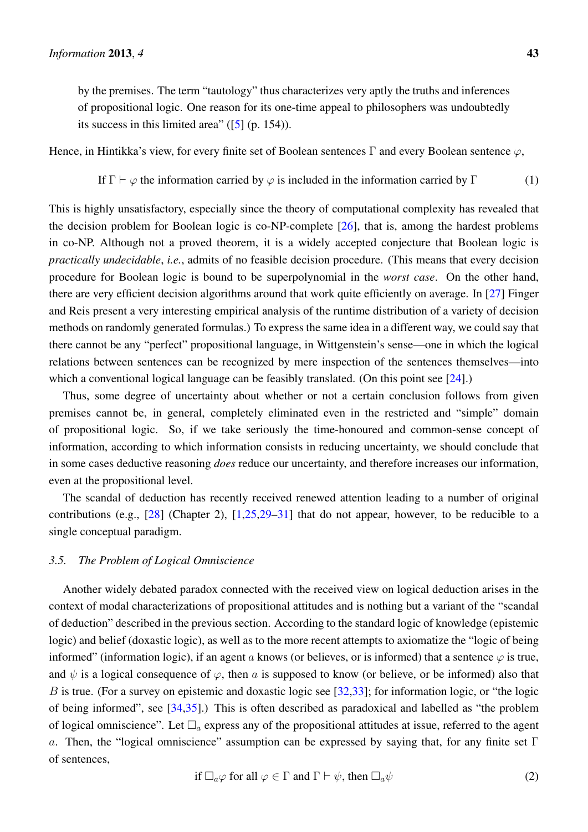by the premises. The term "tautology" thus characterizes very aptly the truths and inferences of propositional logic. One reason for its one-time appeal to philosophers was undoubtedly its success in this limited area"  $(5]$  (p. 154)).

Hence, in Hintikka's view, for every finite set of Boolean sentences Γ and every Boolean sentence  $\varphi$ ,

If  $\Gamma \vdash \varphi$  the information carried by  $\varphi$  is included in the information carried by  $\Gamma$  (1)

This is highly unsatisfactory, especially since the theory of computational complexity has revealed that the decision problem for Boolean logic is co-NP-complete [\[26\]](#page-25-16), that is, among the hardest problems in co-NP. Although not a proved theorem, it is a widely accepted conjecture that Boolean logic is *practically undecidable*, *i.e.*, admits of no feasible decision procedure. (This means that every decision procedure for Boolean logic is bound to be superpolynomial in the *worst case*. On the other hand, there are very efficient decision algorithms around that work quite efficiently on average. In [\[27\]](#page-25-17) Finger and Reis present a very interesting empirical analysis of the runtime distribution of a variety of decision methods on randomly generated formulas.) To express the same idea in a different way, we could say that there cannot be any "perfect" propositional language, in Wittgenstein's sense—one in which the logical relations between sentences can be recognized by mere inspection of the sentences themselves—into which a conventional logical language can be feasibly translated. (On this point see [\[24\]](#page-25-14).)

Thus, some degree of uncertainty about whether or not a certain conclusion follows from given premises cannot be, in general, completely eliminated even in the restricted and "simple" domain of propositional logic. So, if we take seriously the time-honoured and common-sense concept of information, according to which information consists in reducing uncertainty, we should conclude that in some cases deductive reasoning *does* reduce our uncertainty, and therefore increases our information, even at the propositional level.

The scandal of deduction has recently received renewed attention leading to a number of original contributions (e.g.,  $[28]$  (Chapter 2),  $[1,25,29-31]$  $[1,25,29-31]$  $[1,25,29-31]$  $[1,25,29-31]$  that do not appear, however, to be reducible to a single conceptual paradigm.

#### <span id="page-10-1"></span>*3.5. The Problem of Logical Omniscience*

<span id="page-10-0"></span>Another widely debated paradox connected with the received view on logical deduction arises in the context of modal characterizations of propositional attitudes and is nothing but a variant of the "scandal of deduction" described in the previous section. According to the standard logic of knowledge (epistemic logic) and belief (doxastic logic), as well as to the more recent attempts to axiomatize the "logic of being informed" (information logic), if an agent a knows (or believes, or is informed) that a sentence  $\varphi$  is true, and  $\psi$  is a logical consequence of  $\varphi$ , then a is supposed to know (or believe, or be informed) also that B is true. (For a survey on epistemic and doxastic logic see [ $32,33$ ]; for information logic, or "the logic of being informed", see [\[34](#page-26-2)[,35\]](#page-26-3).) This is often described as paradoxical and labelled as "the problem of logical omniscience". Let  $\Box_a$  express any of the propositional attitudes at issue, referred to the agent a. Then, the "logical omniscience" assumption can be expressed by saying that, for any finite set  $\Gamma$ of sentences,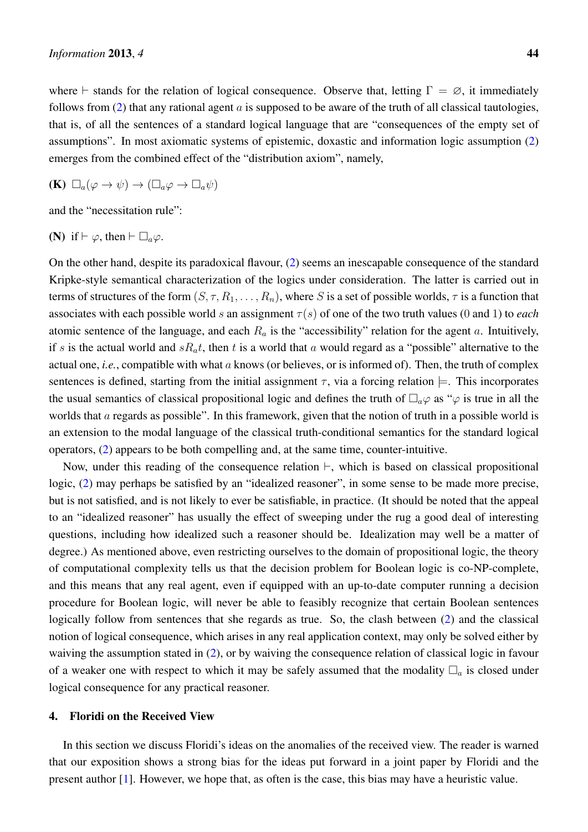$$
(\mathbf{K}) \ \Box_a(\varphi \to \psi) \to (\Box_a \varphi \to \Box_a \psi)
$$

and the "necessitation rule":

(N) if 
$$
\vdash \varphi
$$
, then  $\vdash \Box_a \varphi$ .

On the other hand, despite its paradoxical flavour, [\(2\)](#page-10-0) seems an inescapable consequence of the standard Kripke-style semantical characterization of the logics under consideration. The latter is carried out in terms of structures of the form  $(S, \tau, R_1, \ldots, R_n)$ , where S is a set of possible worlds,  $\tau$  is a function that associates with each possible world s an assignment  $\tau(s)$  of one of the two truth values (0 and 1) to *each* atomic sentence of the language, and each  $R_a$  is the "accessibility" relation for the agent a. Intuitively, if s is the actual world and  $sR_at$ , then t is a world that a would regard as a "possible" alternative to the actual one, *i.e.*, compatible with what a knows (or believes, or is informed of). Then, the truth of complex sentences is defined, starting from the initial assignment  $\tau$ , via a forcing relation  $\models$ . This incorporates the usual semantics of classical propositional logic and defines the truth of  $\Box_a\varphi$  as " $\varphi$  is true in all the worlds that a regards as possible". In this framework, given that the notion of truth in a possible world is an extension to the modal language of the classical truth-conditional semantics for the standard logical operators, [\(2\)](#page-10-0) appears to be both compelling and, at the same time, counter-intuitive.

Now, under this reading of the consequence relation  $\vdash$ , which is based on classical propositional logic, [\(2\)](#page-10-0) may perhaps be satisfied by an "idealized reasoner", in some sense to be made more precise, but is not satisfied, and is not likely to ever be satisfiable, in practice. (It should be noted that the appeal to an "idealized reasoner" has usually the effect of sweeping under the rug a good deal of interesting questions, including how idealized such a reasoner should be. Idealization may well be a matter of degree.) As mentioned above, even restricting ourselves to the domain of propositional logic, the theory of computational complexity tells us that the decision problem for Boolean logic is co-NP-complete, and this means that any real agent, even if equipped with an up-to-date computer running a decision procedure for Boolean logic, will never be able to feasibly recognize that certain Boolean sentences logically follow from sentences that she regards as true. So, the clash between [\(2\)](#page-10-0) and the classical notion of logical consequence, which arises in any real application context, may only be solved either by waiving the assumption stated in [\(2\)](#page-10-0), or by waiving the consequence relation of classical logic in favour of a weaker one with respect to which it may be safely assumed that the modality  $\Box_a$  is closed under logical consequence for any practical reasoner.

#### <span id="page-11-0"></span>4. Floridi on the Received View

In this section we discuss Floridi's ideas on the anomalies of the received view. The reader is warned that our exposition shows a strong bias for the ideas put forward in a joint paper by Floridi and the present author [\[1\]](#page-24-0). However, we hope that, as often is the case, this bias may have a heuristic value.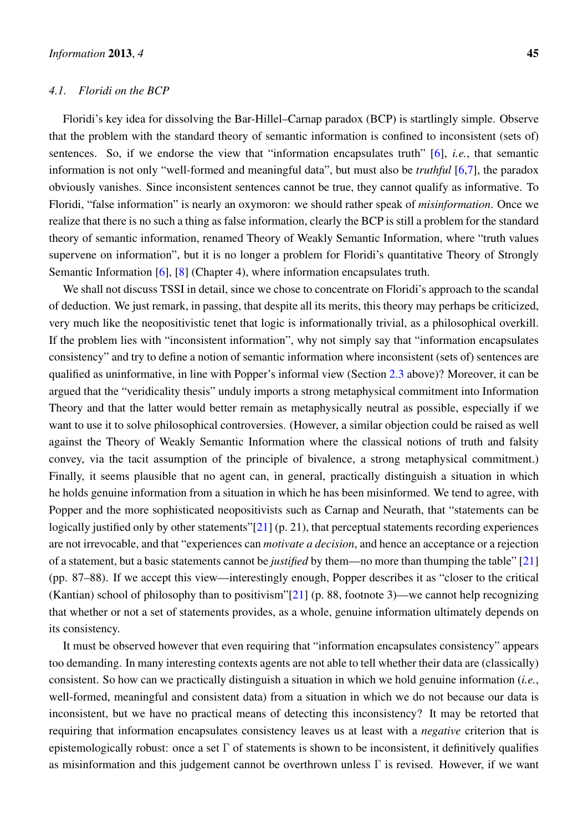#### *4.1. Floridi on the BCP*

Floridi's key idea for dissolving the Bar-Hillel–Carnap paradox (BCP) is startlingly simple. Observe that the problem with the standard theory of semantic information is confined to inconsistent (sets of) sentences. So, if we endorse the view that "information encapsulates truth" [\[6\]](#page-24-5), *i.e.*, that semantic information is not only "well-formed and meaningful data", but must also be *truthful* [\[6](#page-24-5)[,7\]](#page-24-8), the paradox obviously vanishes. Since inconsistent sentences cannot be true, they cannot qualify as informative. To Floridi, "false information" is nearly an oxymoron: we should rather speak of *misinformation*. Once we realize that there is no such a thing as false information, clearly the BCP is still a problem for the standard theory of semantic information, renamed Theory of Weakly Semantic Information, where "truth values supervene on information", but it is no longer a problem for Floridi's quantitative Theory of Strongly Semantic Information [\[6\]](#page-24-5), [\[8\]](#page-24-6) (Chapter 4), where information encapsulates truth.

We shall not discuss TSSI in detail, since we chose to concentrate on Floridi's approach to the scandal of deduction. We just remark, in passing, that despite all its merits, this theory may perhaps be criticized, very much like the neopositivistic tenet that logic is informationally trivial, as a philosophical overkill. If the problem lies with "inconsistent information", why not simply say that "information encapsulates consistency" and try to define a notion of semantic information where inconsistent (sets of) sentences are qualified as uninformative, in line with Popper's informal view (Section [2.3](#page-4-0) above)? Moreover, it can be argued that the "veridicality thesis" unduly imports a strong metaphysical commitment into Information Theory and that the latter would better remain as metaphysically neutral as possible, especially if we want to use it to solve philosophical controversies. (However, a similar objection could be raised as well against the Theory of Weakly Semantic Information where the classical notions of truth and falsity convey, via the tacit assumption of the principle of bivalence, a strong metaphysical commitment.) Finally, it seems plausible that no agent can, in general, practically distinguish a situation in which he holds genuine information from a situation in which he has been misinformed. We tend to agree, with Popper and the more sophisticated neopositivists such as Carnap and Neurath, that "statements can be logically justified only by other statements"[\[21\]](#page-25-11) (p. 21), that perceptual statements recording experiences are not irrevocable, and that "experiences can *motivate a decision*, and hence an acceptance or a rejection of a statement, but a basic statements cannot be *justified* by them—no more than thumping the table" [\[21\]](#page-25-11) (pp. 87–88). If we accept this view—interestingly enough, Popper describes it as "closer to the critical (Kantian) school of philosophy than to positivism"[\[21\]](#page-25-11) (p. 88, footnote 3)—we cannot help recognizing that whether or not a set of statements provides, as a whole, genuine information ultimately depends on its consistency.

It must be observed however that even requiring that "information encapsulates consistency" appears too demanding. In many interesting contexts agents are not able to tell whether their data are (classically) consistent. So how can we practically distinguish a situation in which we hold genuine information (*i.e.*, well-formed, meaningful and consistent data) from a situation in which we do not because our data is inconsistent, but we have no practical means of detecting this inconsistency? It may be retorted that requiring that information encapsulates consistency leaves us at least with a *negative* criterion that is epistemologically robust: once a set  $\Gamma$  of statements is shown to be inconsistent, it definitively qualifies as misinformation and this judgement cannot be overthrown unless  $\Gamma$  is revised. However, if we want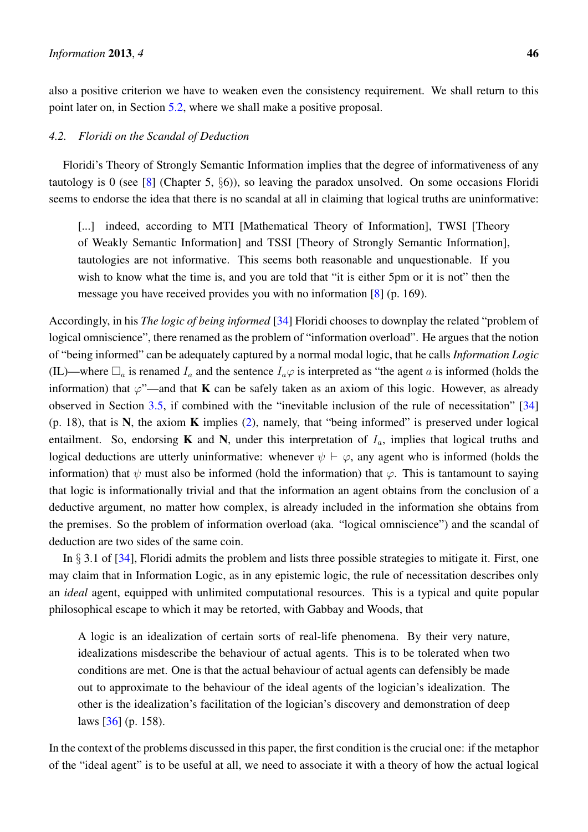also a positive criterion we have to weaken even the consistency requirement. We shall return to this point later on, in Section [5.2,](#page-18-0) where we shall make a positive proposal.

## *4.2. Floridi on the Scandal of Deduction*

Floridi's Theory of Strongly Semantic Information implies that the degree of informativeness of any tautology is 0 (see [\[8\]](#page-24-6) (Chapter 5,  $\S6$ )), so leaving the paradox unsolved. On some occasions Floridi seems to endorse the idea that there is no scandal at all in claiming that logical truths are uninformative:

[...] indeed, according to MTI [Mathematical Theory of Information], TWSI [Theory of Weakly Semantic Information] and TSSI [Theory of Strongly Semantic Information], tautologies are not informative. This seems both reasonable and unquestionable. If you wish to know what the time is, and you are told that "it is either 5pm or it is not" then the message you have received provides you with no information [\[8\]](#page-24-6) (p. 169).

Accordingly, in his *The logic of being informed* [\[34\]](#page-26-2) Floridi chooses to downplay the related "problem of logical omniscience", there renamed as the problem of "information overload". He argues that the notion of "being informed" can be adequately captured by a normal modal logic, that he calls *Information Logic* (IL)—where  $\Box_a$  is renamed  $I_a$  and the sentence  $I_a\varphi$  is interpreted as "the agent a is informed (holds the information) that  $\varphi$ "—and that **K** can be safely taken as an axiom of this logic. However, as already observed in Section [3.5,](#page-10-1) if combined with the "inevitable inclusion of the rule of necessitation" [\[34\]](#page-26-2)  $(p. 18)$ , that is N, the axiom K implies  $(2)$ , namely, that "being informed" is preserved under logical entailment. So, endorsing **K** and **N**, under this interpretation of  $I_a$ , implies that logical truths and logical deductions are utterly uninformative: whenever  $\psi \vdash \varphi$ , any agent who is informed (holds the information) that  $\psi$  must also be informed (hold the information) that  $\varphi$ . This is tantamount to saying that logic is informationally trivial and that the information an agent obtains from the conclusion of a deductive argument, no matter how complex, is already included in the information she obtains from the premises. So the problem of information overload (aka. "logical omniscience") and the scandal of deduction are two sides of the same coin.

In § 3.1 of [\[34\]](#page-26-2), Floridi admits the problem and lists three possible strategies to mitigate it. First, one may claim that in Information Logic, as in any epistemic logic, the rule of necessitation describes only an *ideal* agent, equipped with unlimited computational resources. This is a typical and quite popular philosophical escape to which it may be retorted, with Gabbay and Woods, that

A logic is an idealization of certain sorts of real-life phenomena. By their very nature, idealizations misdescribe the behaviour of actual agents. This is to be tolerated when two conditions are met. One is that the actual behaviour of actual agents can defensibly be made out to approximate to the behaviour of the ideal agents of the logician's idealization. The other is the idealization's facilitation of the logician's discovery and demonstration of deep laws [\[36\]](#page-26-4) (p. 158).

In the context of the problems discussed in this paper, the first condition is the crucial one: if the metaphor of the "ideal agent" is to be useful at all, we need to associate it with a theory of how the actual logical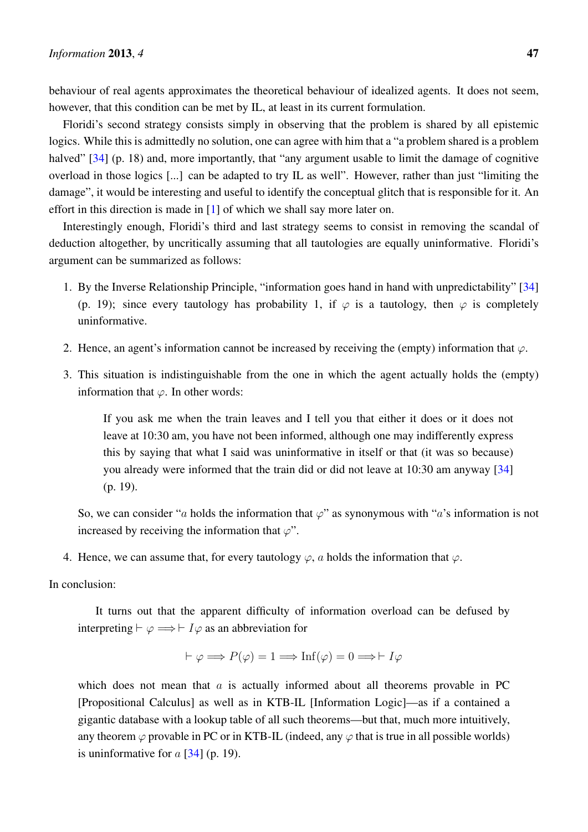behaviour of real agents approximates the theoretical behaviour of idealized agents. It does not seem, however, that this condition can be met by IL, at least in its current formulation.

Floridi's second strategy consists simply in observing that the problem is shared by all epistemic logics. While this is admittedly no solution, one can agree with him that a "a problem shared is a problem halved" [\[34\]](#page-26-2) (p. 18) and, more importantly, that "any argument usable to limit the damage of cognitive overload in those logics [...] can be adapted to try IL as well". However, rather than just "limiting the damage", it would be interesting and useful to identify the conceptual glitch that is responsible for it. An effort in this direction is made in [\[1\]](#page-24-0) of which we shall say more later on.

Interestingly enough, Floridi's third and last strategy seems to consist in removing the scandal of deduction altogether, by uncritically assuming that all tautologies are equally uninformative. Floridi's argument can be summarized as follows:

- 1. By the Inverse Relationship Principle, "information goes hand in hand with unpredictability" [\[34\]](#page-26-2) (p. 19); since every tautology has probability 1, if  $\varphi$  is a tautology, then  $\varphi$  is completely uninformative.
- 2. Hence, an agent's information cannot be increased by receiving the (empty) information that  $\varphi$ .
- 3. This situation is indistinguishable from the one in which the agent actually holds the (empty) information that  $\varphi$ . In other words:

If you ask me when the train leaves and I tell you that either it does or it does not leave at 10:30 am, you have not been informed, although one may indifferently express this by saying that what I said was uninformative in itself or that (it was so because) you already were informed that the train did or did not leave at 10:30 am anyway [\[34\]](#page-26-2) (p. 19).

So, we can consider "a holds the information that  $\varphi$ " as synonymous with "a's information is not increased by receiving the information that  $\varphi$ ".

4. Hence, we can assume that, for every tautology  $\varphi$ , a holds the information that  $\varphi$ .

### In conclusion:

It turns out that the apparent difficulty of information overload can be defused by interpreting  $\vdash \varphi \Longrightarrow \vdash I\varphi$  as an abbreviation for

$$
\vdash \varphi \Longrightarrow P(\varphi) = 1 \Longrightarrow \text{Inf}(\varphi) = 0 \Longrightarrow \vdash I\varphi
$$

which does not mean that  $\alpha$  is actually informed about all theorems provable in PC [Propositional Calculus] as well as in KTB-IL [Information Logic]—as if a contained a gigantic database with a lookup table of all such theorems—but that, much more intuitively, any theorem  $\varphi$  provable in PC or in KTB-IL (indeed, any  $\varphi$  that is true in all possible worlds) is uninformative for  $a$  [\[34\]](#page-26-2) (p. 19).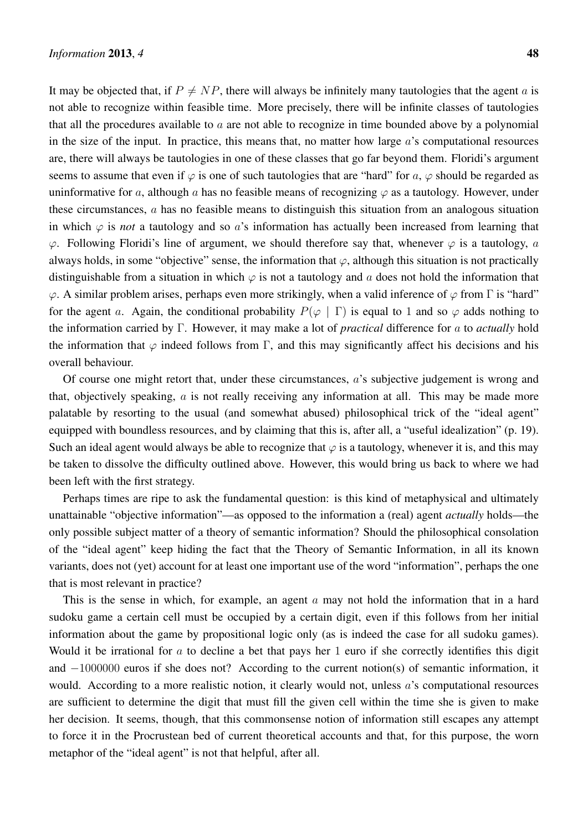It may be objected that, if  $P \neq NP$ , there will always be infinitely many tautologies that the agent a is not able to recognize within feasible time. More precisely, there will be infinite classes of tautologies that all the procedures available to  $a$  are not able to recognize in time bounded above by a polynomial in the size of the input. In practice, this means that, no matter how large  $\alpha$ 's computational resources are, there will always be tautologies in one of these classes that go far beyond them. Floridi's argument seems to assume that even if  $\varphi$  is one of such tautologies that are "hard" for a,  $\varphi$  should be regarded as uninformative for a, although a has no feasible means of recognizing  $\varphi$  as a tautology. However, under these circumstances, a has no feasible means to distinguish this situation from an analogous situation in which  $\varphi$  is *not* a tautology and so a's information has actually been increased from learning that  $\varphi$ . Following Floridi's line of argument, we should therefore say that, whenever  $\varphi$  is a tautology, a always holds, in some "objective" sense, the information that  $\varphi$ , although this situation is not practically distinguishable from a situation in which  $\varphi$  is not a tautology and a does not hold the information that  $\varphi$ . A similar problem arises, perhaps even more strikingly, when a valid inference of  $\varphi$  from Γ is "hard" for the agent a. Again, the conditional probability  $P(\varphi | \Gamma)$  is equal to 1 and so  $\varphi$  adds nothing to the information carried by Γ. However, it may make a lot of *practical* difference for a to *actually* hold the information that  $\varphi$  indeed follows from Γ, and this may significantly affect his decisions and his overall behaviour.

Of course one might retort that, under these circumstances, a's subjective judgement is wrong and that, objectively speaking,  $a$  is not really receiving any information at all. This may be made more palatable by resorting to the usual (and somewhat abused) philosophical trick of the "ideal agent" equipped with boundless resources, and by claiming that this is, after all, a "useful idealization" (p. 19). Such an ideal agent would always be able to recognize that  $\varphi$  is a tautology, whenever it is, and this may be taken to dissolve the difficulty outlined above. However, this would bring us back to where we had been left with the first strategy.

Perhaps times are ripe to ask the fundamental question: is this kind of metaphysical and ultimately unattainable "objective information"—as opposed to the information a (real) agent *actually* holds—the only possible subject matter of a theory of semantic information? Should the philosophical consolation of the "ideal agent" keep hiding the fact that the Theory of Semantic Information, in all its known variants, does not (yet) account for at least one important use of the word "information", perhaps the one that is most relevant in practice?

This is the sense in which, for example, an agent  $\alpha$  may not hold the information that in a hard sudoku game a certain cell must be occupied by a certain digit, even if this follows from her initial information about the game by propositional logic only (as is indeed the case for all sudoku games). Would it be irrational for a to decline a bet that pays her 1 euro if she correctly identifies this digit and −1000000 euros if she does not? According to the current notion(s) of semantic information, it would. According to a more realistic notion, it clearly would not, unless a's computational resources are sufficient to determine the digit that must fill the given cell within the time she is given to make her decision. It seems, though, that this commonsense notion of information still escapes any attempt to force it in the Procrustean bed of current theoretical accounts and that, for this purpose, the worn metaphor of the "ideal agent" is not that helpful, after all.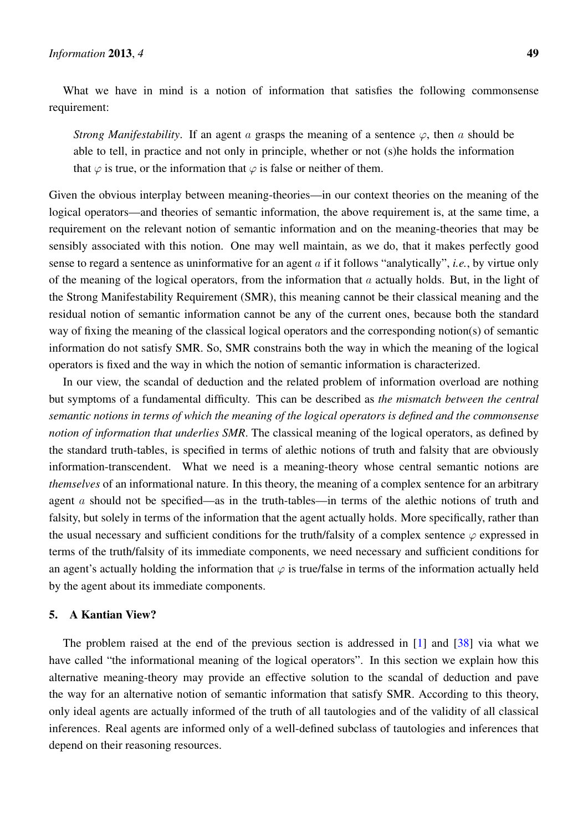What we have in mind is a notion of information that satisfies the following commonsense requirement:

*Strong Manifestability.* If an agent a grasps the meaning of a sentence  $\varphi$ , then a should be able to tell, in practice and not only in principle, whether or not (s)he holds the information that  $\varphi$  is true, or the information that  $\varphi$  is false or neither of them.

Given the obvious interplay between meaning-theories—in our context theories on the meaning of the logical operators—and theories of semantic information, the above requirement is, at the same time, a requirement on the relevant notion of semantic information and on the meaning-theories that may be sensibly associated with this notion. One may well maintain, as we do, that it makes perfectly good sense to regard a sentence as uninformative for an agent a if it follows "analytically", *i.e.*, by virtue only of the meaning of the logical operators, from the information that  $a$  actually holds. But, in the light of the Strong Manifestability Requirement (SMR), this meaning cannot be their classical meaning and the residual notion of semantic information cannot be any of the current ones, because both the standard way of fixing the meaning of the classical logical operators and the corresponding notion(s) of semantic information do not satisfy SMR. So, SMR constrains both the way in which the meaning of the logical operators is fixed and the way in which the notion of semantic information is characterized.

In our view, the scandal of deduction and the related problem of information overload are nothing but symptoms of a fundamental difficulty. This can be described as *the mismatch between the central semantic notions in terms of which the meaning of the logical operators is defined and the commonsense notion of information that underlies SMR*. The classical meaning of the logical operators, as defined by the standard truth-tables, is specified in terms of alethic notions of truth and falsity that are obviously information-transcendent. What we need is a meaning-theory whose central semantic notions are *themselves* of an informational nature. In this theory, the meaning of a complex sentence for an arbitrary agent a should not be specified—as in the truth-tables—in terms of the alethic notions of truth and falsity, but solely in terms of the information that the agent actually holds. More specifically, rather than the usual necessary and sufficient conditions for the truth/falsity of a complex sentence  $\varphi$  expressed in terms of the truth/falsity of its immediate components, we need necessary and sufficient conditions for an agent's actually holding the information that  $\varphi$  is true/false in terms of the information actually held by the agent about its immediate components.

## <span id="page-16-0"></span>5. A Kantian View?

The problem raised at the end of the previous section is addressed in  $[1]$  and  $[38]$  via what we have called "the informational meaning of the logical operators". In this section we explain how this alternative meaning-theory may provide an effective solution to the scandal of deduction and pave the way for an alternative notion of semantic information that satisfy SMR. According to this theory, only ideal agents are actually informed of the truth of all tautologies and of the validity of all classical inferences. Real agents are informed only of a well-defined subclass of tautologies and inferences that depend on their reasoning resources.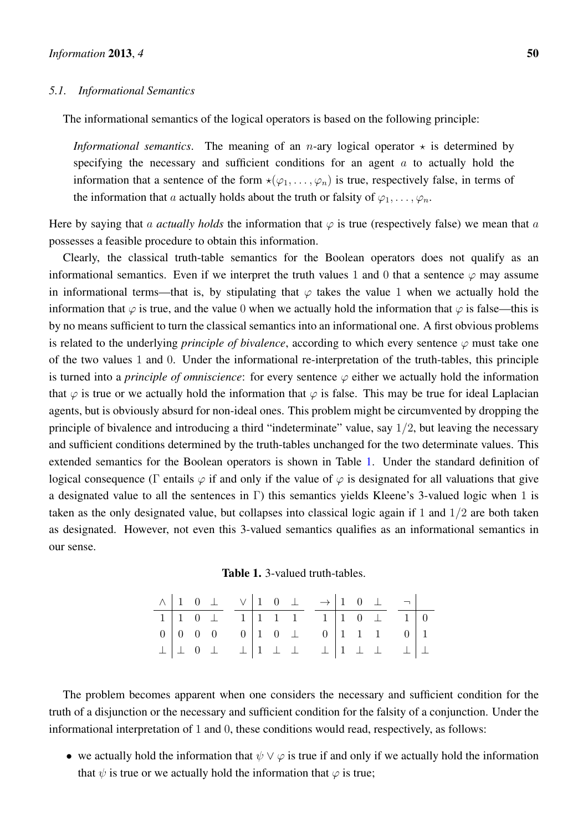#### <span id="page-17-1"></span>*5.1. Informational Semantics*

The informational semantics of the logical operators is based on the following principle:

*Informational semantics*. The meaning of an *n*-ary logical operator  $\star$  is determined by specifying the necessary and sufficient conditions for an agent  $\alpha$  to actually hold the information that a sentence of the form  $\star(\varphi_1,\ldots,\varphi_n)$  is true, respectively false, in terms of the information that a actually holds about the truth or falsity of  $\varphi_1, \ldots, \varphi_n$ .

Here by saying that a *actually holds* the information that  $\varphi$  is true (respectively false) we mean that a possesses a feasible procedure to obtain this information.

Clearly, the classical truth-table semantics for the Boolean operators does not qualify as an informational semantics. Even if we interpret the truth values 1 and 0 that a sentence  $\varphi$  may assume in informational terms—that is, by stipulating that  $\varphi$  takes the value 1 when we actually hold the information that  $\varphi$  is true, and the value 0 when we actually hold the information that  $\varphi$  is false—this is by no means sufficient to turn the classical semantics into an informational one. A first obvious problems is related to the underlying *principle of bivalence*, according to which every sentence  $\varphi$  must take one of the two values 1 and 0. Under the informational re-interpretation of the truth-tables, this principle is turned into a *principle of omniscience*: for every sentence  $\varphi$  either we actually hold the information that  $\varphi$  is true or we actually hold the information that  $\varphi$  is false. This may be true for ideal Laplacian agents, but is obviously absurd for non-ideal ones. This problem might be circumvented by dropping the principle of bivalence and introducing a third "indeterminate" value, say  $1/2$ , but leaving the necessary and sufficient conditions determined by the truth-tables unchanged for the two determinate values. This extended semantics for the Boolean operators is shown in Table [1.](#page-17-0) Under the standard definition of logical consequence (Γ entails  $\varphi$  if and only if the value of  $\varphi$  is designated for all valuations that give a designated value to all the sentences in Γ) this semantics yields Kleene's 3-valued logic when 1 is taken as the only designated value, but collapses into classical logic again if 1 and 1/2 are both taken as designated. However, not even this 3-valued semantics qualifies as an informational semantics in our sense.

| <b>Table 1.</b> 3-valued truth-tables. |  |
|----------------------------------------|--|
|----------------------------------------|--|

<span id="page-17-0"></span>

|  |  |  |  |  | $\wedge$ 1 0 $\perp$ $\vee$ 1 0 $\perp$ $\rightarrow$ 1 0 $\perp$ $\rightarrow$                   |  |  |  |
|--|--|--|--|--|---------------------------------------------------------------------------------------------------|--|--|--|
|  |  |  |  |  | $1 \ 1 \ 0 \ \perp \quad 1 \ 1 \ 1 \ 1 \ \overline{1} \ \overline{1} \ 1 \ 0 \ \perp \quad 1 \ 0$ |  |  |  |
|  |  |  |  |  |                                                                                                   |  |  |  |
|  |  |  |  |  |                                                                                                   |  |  |  |

The problem becomes apparent when one considers the necessary and sufficient condition for the truth of a disjunction or the necessary and sufficient condition for the falsity of a conjunction. Under the informational interpretation of 1 and 0, these conditions would read, respectively, as follows:

• we actually hold the information that  $\psi \vee \varphi$  is true if and only if we actually hold the information that  $\psi$  is true or we actually hold the information that  $\varphi$  is true;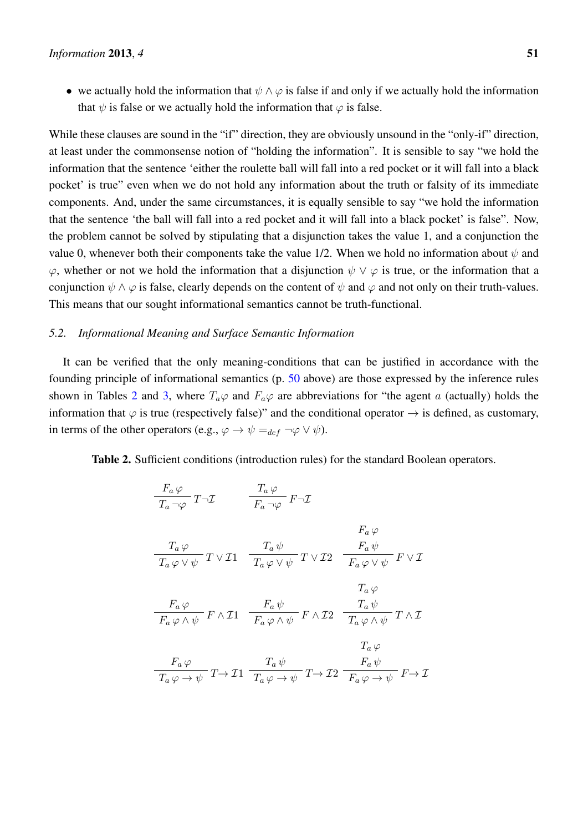• we actually hold the information that  $\psi \wedge \varphi$  is false if and only if we actually hold the information that  $\psi$  is false or we actually hold the information that  $\varphi$  is false.

While these clauses are sound in the "if" direction, they are obviously unsound in the "only-if" direction, at least under the commonsense notion of "holding the information". It is sensible to say "we hold the information that the sentence 'either the roulette ball will fall into a red pocket or it will fall into a black pocket' is true" even when we do not hold any information about the truth or falsity of its immediate components. And, under the same circumstances, it is equally sensible to say "we hold the information that the sentence 'the ball will fall into a red pocket and it will fall into a black pocket' is false". Now, the problem cannot be solved by stipulating that a disjunction takes the value 1, and a conjunction the value 0, whenever both their components take the value 1/2. When we hold no information about  $\psi$  and  $\varphi$ , whether or not we hold the information that a disjunction  $\psi \lor \varphi$  is true, or the information that a conjunction  $\psi \wedge \varphi$  is false, clearly depends on the content of  $\psi$  and  $\varphi$  and not only on their truth-values. This means that our sought informational semantics cannot be truth-functional.

## <span id="page-18-0"></span>*5.2. Informational Meaning and Surface Semantic Information*

It can be verified that the only meaning-conditions that can be justified in accordance with the founding principle of informational semantics (p. [50](#page-17-1) above) are those expressed by the inference rules shown in Tables [2](#page-18-1) and [3,](#page-19-0) where  $T_a\varphi$  and  $F_a\varphi$  are abbreviations for "the agent a (actually) holds the information that  $\varphi$  is true (respectively false)" and the conditional operator  $\rightarrow$  is defined, as customary, in terms of the other operators (e.g.,  $\varphi \to \psi =_{def} \neg \varphi \lor \psi$ ).

<span id="page-18-1"></span>Table 2. Sufficient conditions (introduction rules) for the standard Boolean operators.

$$
\frac{F_a \varphi}{T_a \neg \varphi} T \neg \mathcal{I} \qquad \frac{T_a \varphi}{F_a \neg \varphi} F \neg \mathcal{I}
$$
\n
$$
F_a \varphi
$$
\n
$$
\frac{T_a \varphi}{T_a \varphi \lor \psi} T \lor \mathcal{I}1 \qquad \frac{T_a \psi}{T_a \varphi \lor \psi} T \lor \mathcal{I}2 \qquad \frac{F_a \psi}{F_a \varphi \lor \psi} F \lor \mathcal{I}
$$
\n
$$
\frac{T_a \varphi}{F_a \varphi \land \psi} F \land \mathcal{I}1 \qquad \frac{F_a \psi}{F_a \varphi \land \psi} F \land \mathcal{I}2 \qquad \frac{T_a \psi}{T_a \varphi \land \psi} T \land \mathcal{I}
$$
\n
$$
\frac{T_a \varphi}{T_a \varphi \to \psi} T \to \mathcal{I}1 \qquad \frac{T_a \psi}{T_a \varphi \to \psi} T \to \mathcal{I}2 \qquad \frac{F_a \psi}{F_a \varphi \to \psi} F \to \mathcal{I}
$$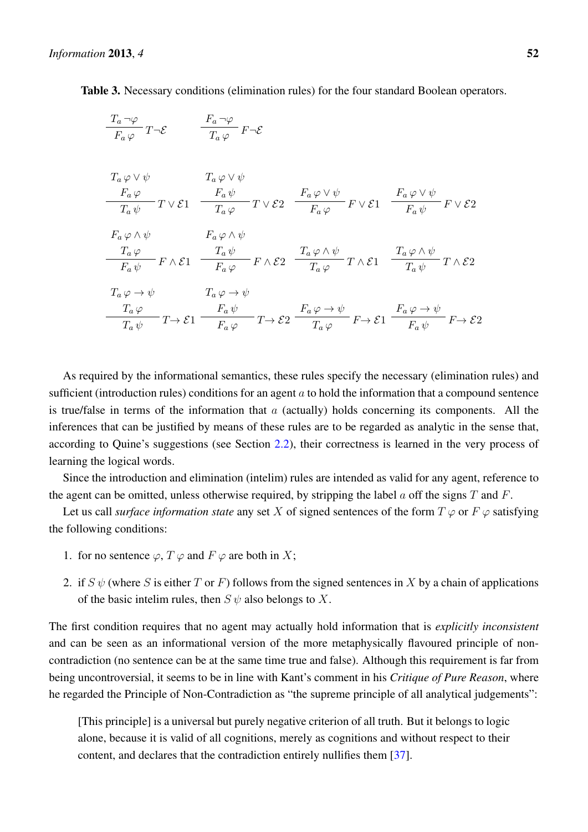<span id="page-19-0"></span>Table 3. Necessary conditions (elimination rules) for the four standard Boolean operators.

| $\frac{T_a \neg \varphi}{F_a \varphi} T \neg \mathcal{E} \qquad \qquad \frac{F_a \neg \varphi}{T_a \varphi} F \neg \mathcal{E}$ |                                                                                                                                                                                                                                                                              |  |
|---------------------------------------------------------------------------------------------------------------------------------|------------------------------------------------------------------------------------------------------------------------------------------------------------------------------------------------------------------------------------------------------------------------------|--|
|                                                                                                                                 |                                                                                                                                                                                                                                                                              |  |
|                                                                                                                                 |                                                                                                                                                                                                                                                                              |  |
| $T_a \varphi \vee \psi$                                                                                                         | $T_a \varphi \vee \psi$                                                                                                                                                                                                                                                      |  |
|                                                                                                                                 |                                                                                                                                                                                                                                                                              |  |
|                                                                                                                                 | $\frac{F_a \varphi}{T_a \psi} - T \vee \mathcal{E}1 \quad \frac{F_a \psi}{T_a \varphi} - T \vee \mathcal{E}2 \quad \frac{F_a \varphi \vee \psi}{F_a \varphi} \ F \vee \mathcal{E}1 \quad \frac{F_a \varphi \vee \psi}{F_a \psi} \ F \vee \mathcal{E}2$                       |  |
|                                                                                                                                 |                                                                                                                                                                                                                                                                              |  |
| $F_a \varphi \wedge \psi$                                                                                                       | $F_a \varphi \wedge \psi$                                                                                                                                                                                                                                                    |  |
|                                                                                                                                 | $\frac{T_a\,\varphi}{F_a\,\psi} = F\wedge \mathcal{E}1 \quad \frac{T_a\,\psi}{F_a\,\varphi} = F\wedge \mathcal{E}2 \quad \frac{T_a\,\varphi\wedge \psi}{T_a\,\varphi}\, T\wedge \mathcal{E}1 \quad \frac{T_a\,\varphi\wedge \psi}{T_a\,\psi}\, T\wedge \mathcal{E}2$         |  |
|                                                                                                                                 |                                                                                                                                                                                                                                                                              |  |
| $T_a \varphi \to \psi$                                                                                                          | $T_a \varphi \to \psi$                                                                                                                                                                                                                                                       |  |
|                                                                                                                                 |                                                                                                                                                                                                                                                                              |  |
|                                                                                                                                 | $\frac{T_a \varphi}{T_a \psi} T \rightarrow \mathcal{E}1$ $\frac{F_a \psi}{F_a \varphi} T \rightarrow \mathcal{E}2$ $\frac{F_a \varphi \rightarrow \psi}{T_a \varphi} F \rightarrow \mathcal{E}1$ $\frac{F_a \varphi \rightarrow \psi}{F_a \psi} F \rightarrow \mathcal{E}2$ |  |
|                                                                                                                                 |                                                                                                                                                                                                                                                                              |  |

As required by the informational semantics, these rules specify the necessary (elimination rules) and sufficient (introduction rules) conditions for an agent  $a$  to hold the information that a compound sentence is true/false in terms of the information that  $\alpha$  (actually) holds concerning its components. All the inferences that can be justified by means of these rules are to be regarded as analytic in the sense that, according to Quine's suggestions (see Section [2.2\)](#page-3-0), their correctness is learned in the very process of learning the logical words.

Since the introduction and elimination (intelim) rules are intended as valid for any agent, reference to the agent can be omitted, unless otherwise required, by stripping the label  $\alpha$  off the signs  $T$  and  $F$ .

Let us call *surface information state* any set X of signed sentences of the form  $T \varphi$  or  $F \varphi$  satisfying the following conditions:

- 1. for no sentence  $\varphi$ ,  $T \varphi$  and  $F \varphi$  are both in X;
- 2. if  $S \psi$  (where S is either T or F) follows from the signed sentences in X by a chain of applications of the basic intelim rules, then  $S \psi$  also belongs to X.

The first condition requires that no agent may actually hold information that is *explicitly inconsistent* and can be seen as an informational version of the more metaphysically flavoured principle of noncontradiction (no sentence can be at the same time true and false). Although this requirement is far from being uncontroversial, it seems to be in line with Kant's comment in his *Critique of Pure Reason*, where he regarded the Principle of Non-Contradiction as "the supreme principle of all analytical judgements":

[This principle] is a universal but purely negative criterion of all truth. But it belongs to logic alone, because it is valid of all cognitions, merely as cognitions and without respect to their content, and declares that the contradiction entirely nullifies them [\[37\]](#page-26-6).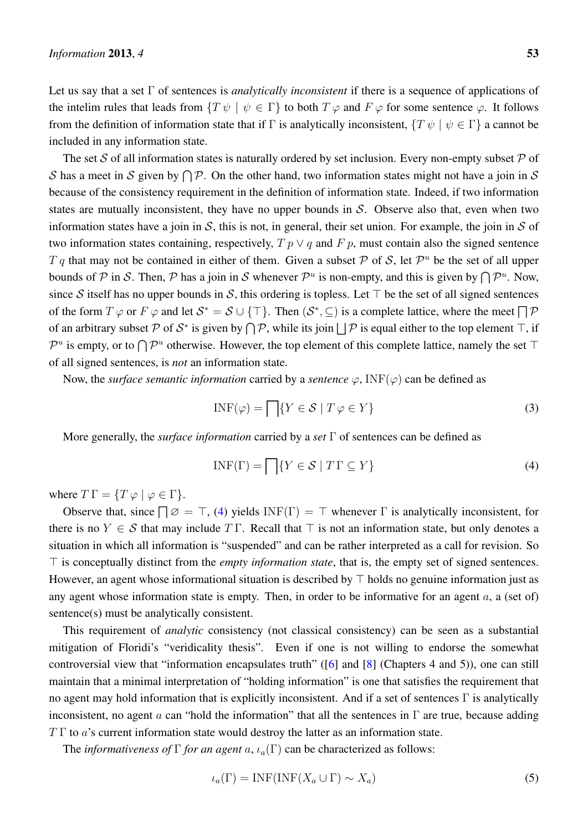Let us say that a set Γ of sentences is *analytically inconsistent* if there is a sequence of applications of the intelim rules that leads from  $\{T \psi \mid \psi \in \Gamma\}$  to both  $T \varphi$  and  $F \varphi$  for some sentence  $\varphi$ . It follows from the definition of information state that if Γ is analytically inconsistent,  $\{T \psi \mid \psi \in \Gamma\}$  a cannot be included in any information state.

The set S of all information states is naturally ordered by set inclusion. Every non-empty subset  $P$  of S has a meet in S given by  $\bigcap \mathcal{P}$ . On the other hand, two information states might not have a join in S because of the consistency requirement in the definition of information state. Indeed, if two information states are mutually inconsistent, they have no upper bounds in  $S$ . Observe also that, even when two information states have a join in  $S$ , this is not, in general, their set union. For example, the join in  $S$  of two information states containing, respectively,  $T p \lor q$  and  $F p$ , must contain also the signed sentence T q that may not be contained in either of them. Given a subset P of S, let  $\mathcal{P}^u$  be the set of all upper bounds of P in S. Then, P has a join in S whenever  $\mathcal{P}^u$  is non-empty, and this is given by  $\bigcap \mathcal{P}^u$ . Now, since S itself has no upper bounds in S, this ordering is topless. Let  $\top$  be the set of all signed sentences of the form  $T \varphi$  or  $F \varphi$  and let  $S^* = S \cup \{\top\}$ . Then  $(S^*, \subseteq)$  is a complete lattice, where the meet  $\Box \mathcal{P}$ of an arbitrary subset P of  $S^*$  is given by  $\bigcap \mathcal{P}$ , while its join  $\bigcup \mathcal{P}$  is equal either to the top element  $\top$ , if  $\mathcal{P}^u$  is empty, or to  $\bigcap \mathcal{P}^u$  otherwise. However, the top element of this complete lattice, namely the set  $\top$ of all signed sentences, is *not* an information state.

Now, the *surface semantic information* carried by a *sentence*  $\varphi$ , INF( $\varphi$ ) can be defined as

$$
INF(\varphi) = \bigcap \{ Y \in \mathcal{S} \mid T \varphi \in Y \}
$$
\n(3)

More generally, the *surface information* carried by a *set* Γ of sentences can be defined as

<span id="page-20-0"></span>
$$
INF(\Gamma) = \bigcap \{ Y \in \mathcal{S} \mid T \Gamma \subseteq Y \}
$$
\n(4)

where  $T \Gamma = \{ T \varphi \mid \varphi \in \Gamma \}.$ 

Observe that, since  $\Box \varnothing = \top$ , [\(4\)](#page-20-0) yields INF(Γ) =  $\top$  whenever Γ is analytically inconsistent, for there is no  $Y \in S$  that may include  $T \Gamma$ . Recall that  $\top$  is not an information state, but only denotes a situation in which all information is "suspended" and can be rather interpreted as a call for revision. So  $\top$  is conceptually distinct from the *empty information state*, that is, the empty set of signed sentences. However, an agent whose informational situation is described by  $\top$  holds no genuine information just as any agent whose information state is empty. Then, in order to be informative for an agent  $a$ , a (set of) sentence(s) must be analytically consistent.

This requirement of *analytic* consistency (not classical consistency) can be seen as a substantial mitigation of Floridi's "veridicality thesis". Even if one is not willing to endorse the somewhat controversial view that "information encapsulates truth" ([\[6\]](#page-24-5) and [\[8\]](#page-24-6) (Chapters 4 and 5)), one can still maintain that a minimal interpretation of "holding information" is one that satisfies the requirement that no agent may hold information that is explicitly inconsistent. And if a set of sentences  $\Gamma$  is analytically inconsistent, no agent a can "hold the information" that all the sentences in  $\Gamma$  are true, because adding  $T \Gamma$  to a's current information state would destroy the latter as an information state.

The *informativeness of*  $\Gamma$  *for an agent* a,  $\iota_a(\Gamma)$  can be characterized as follows:

<span id="page-20-1"></span>
$$
\iota_a(\Gamma) = \text{INF}(\text{INF}(X_a \cup \Gamma) \sim X_a) \tag{5}
$$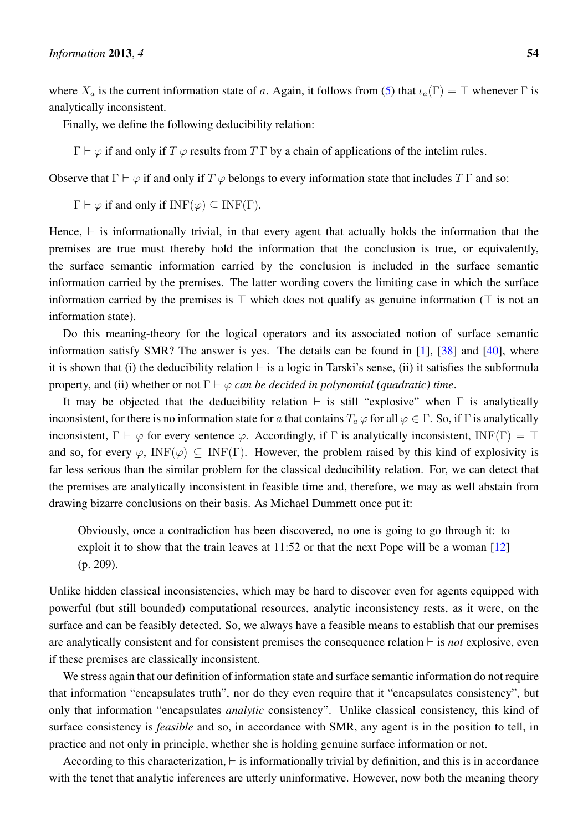where  $X_a$  is the current information state of a. Again, it follows from [\(5\)](#page-20-1) that  $\iota_a(\Gamma) = \top$  whenever  $\Gamma$  is analytically inconsistent.

Finally, we define the following deducibility relation:

 $\Gamma \vdash \varphi$  if and only if  $T \varphi$  results from  $T \Gamma$  by a chain of applications of the intelim rules.

Observe that  $\Gamma \vdash \varphi$  if and only if  $T \varphi$  belongs to every information state that includes  $T \Gamma$  and so:

 $\Gamma \vdash \varphi$  if and only if  $INF(\varphi) \subseteq INF(\Gamma)$ .

Hence,  $\vdash$  is informationally trivial, in that every agent that actually holds the information that the premises are true must thereby hold the information that the conclusion is true, or equivalently, the surface semantic information carried by the conclusion is included in the surface semantic information carried by the premises. The latter wording covers the limiting case in which the surface information carried by the premises is  $\top$  which does not qualify as genuine information ( $\top$  is not an information state).

Do this meaning-theory for the logical operators and its associated notion of surface semantic information satisfy SMR? The answer is yes. The details can be found in [\[1\]](#page-24-0), [\[38\]](#page-26-5) and [\[40\]](#page-26-7), where it is shown that (i) the deducibility relation  $\vdash$  is a logic in Tarski's sense, (ii) it satisfies the subformula property, and (ii) whether or not  $\Gamma \vdash \varphi$  *can be decided in polynomial (quadratic) time.* 

It may be objected that the deducibility relation  $\vdash$  is still "explosive" when  $\Gamma$  is analytically inconsistent, for there is no information state for a that contains  $T_a \varphi$  for all  $\varphi \in \Gamma$ . So, if  $\Gamma$  is analytically inconsistent,  $\Gamma \vdash \varphi$  for every sentence  $\varphi$ . Accordingly, if  $\Gamma$  is analytically inconsistent, INF( $\Gamma$ ) =  $\top$ and so, for every  $\varphi$ , INF( $\varphi$ )  $\subseteq$  INF(Γ). However, the problem raised by this kind of explosivity is far less serious than the similar problem for the classical deducibility relation. For, we can detect that the premises are analytically inconsistent in feasible time and, therefore, we may as well abstain from drawing bizarre conclusions on their basis. As Michael Dummett once put it:

Obviously, once a contradiction has been discovered, no one is going to go through it: to exploit it to show that the train leaves at 11:52 or that the next Pope will be a woman [\[12\]](#page-25-2) (p. 209).

Unlike hidden classical inconsistencies, which may be hard to discover even for agents equipped with powerful (but still bounded) computational resources, analytic inconsistency rests, as it were, on the surface and can be feasibly detected. So, we always have a feasible means to establish that our premises are analytically consistent and for consistent premises the consequence relation  $\vdash$  is *not* explosive, even if these premises are classically inconsistent.

We stress again that our definition of information state and surface semantic information do not require that information "encapsulates truth", nor do they even require that it "encapsulates consistency", but only that information "encapsulates *analytic* consistency". Unlike classical consistency, this kind of surface consistency is *feasible* and so, in accordance with SMR, any agent is in the position to tell, in practice and not only in principle, whether she is holding genuine surface information or not.

According to this characterization,  $\vdash$  is informationally trivial by definition, and this is in accordance with the tenet that analytic inferences are utterly uninformative. However, now both the meaning theory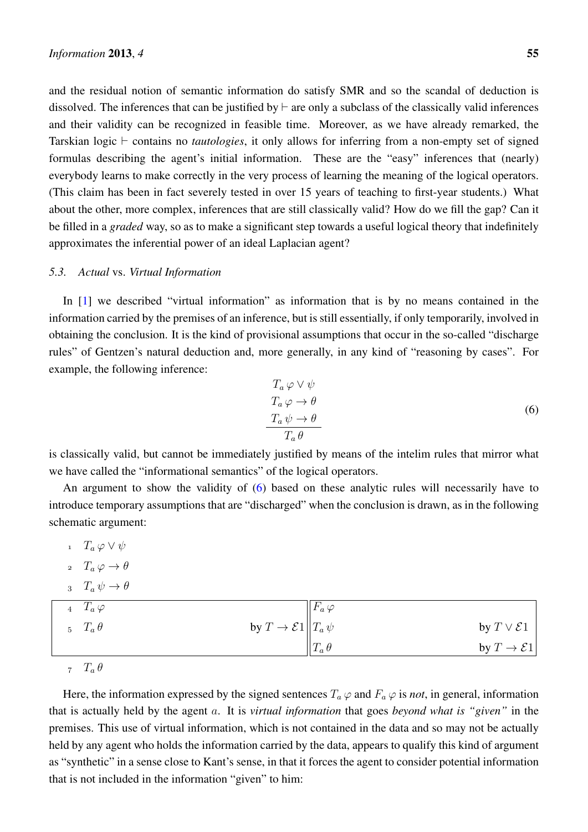and the residual notion of semantic information do satisfy SMR and so the scandal of deduction is dissolved. The inferences that can be justified by  $\vdash$  are only a subclass of the classically valid inferences and their validity can be recognized in feasible time. Moreover, as we have already remarked, the Tarskian logic  $\vdash$  contains no *tautologies*, it only allows for inferring from a non-empty set of signed formulas describing the agent's initial information. These are the "easy" inferences that (nearly) everybody learns to make correctly in the very process of learning the meaning of the logical operators. (This claim has been in fact severely tested in over 15 years of teaching to first-year students.) What about the other, more complex, inferences that are still classically valid? How do we fill the gap? Can it be filled in a *graded* way, so as to make a significant step towards a useful logical theory that indefinitely approximates the inferential power of an ideal Laplacian agent?

#### *5.3. Actual* vs. *Virtual Information*

In [\[1\]](#page-24-0) we described "virtual information" as information that is by no means contained in the information carried by the premises of an inference, but is still essentially, if only temporarily, involved in obtaining the conclusion. It is the kind of provisional assumptions that occur in the so-called "discharge rules" of Gentzen's natural deduction and, more generally, in any kind of "reasoning by cases". For example, the following inference:

<span id="page-22-0"></span>
$$
T_a \varphi \lor \psi
$$
  
\n
$$
T_a \varphi \to \theta
$$
  
\n
$$
T_a \psi \to \theta
$$
  
\n
$$
T_a \theta
$$
\n(6)

is classically valid, but cannot be immediately justified by means of the intelim rules that mirror what we have called the "informational semantics" of the logical operators.

An argument to show the validity of [\(6\)](#page-22-0) based on these analytic rules will necessarily have to introduce temporary assumptions that are "discharged" when the conclusion is drawn, as in the following schematic argument:

- $T_a \varphi \vee \psi$ 2  $T_a \varphi \to \theta$
- $T_a \psi \rightarrow \theta$

| 4 $T_a \varphi$      |                                     | $ F_a \varphi $ |                          |
|----------------------|-------------------------------------|-----------------|--------------------------|
| $5 \quad T_a \theta$ | by $T \to \mathcal{E}1    T_a \psi$ |                 | by $T \vee \mathcal{E}1$ |
|                      |                                     | $T_a \theta$    | by $T \to \mathcal{E}1$  |

z  $T_a \theta$ 

Here, the information expressed by the signed sentences  $T_a \varphi$  and  $F_a \varphi$  is *not*, in general, information that is actually held by the agent a. It is *virtual information* that goes *beyond what is "given"* in the premises. This use of virtual information, which is not contained in the data and so may not be actually held by any agent who holds the information carried by the data, appears to qualify this kind of argument as "synthetic" in a sense close to Kant's sense, in that it forces the agent to consider potential information that is not included in the information "given" to him: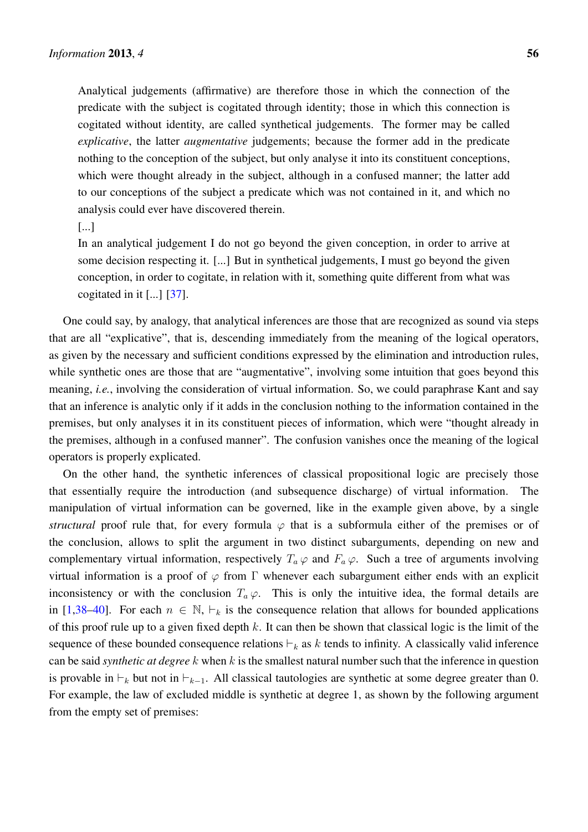Analytical judgements (affirmative) are therefore those in which the connection of the predicate with the subject is cogitated through identity; those in which this connection is cogitated without identity, are called synthetical judgements. The former may be called *explicative*, the latter *augmentative* judgements; because the former add in the predicate nothing to the conception of the subject, but only analyse it into its constituent conceptions, which were thought already in the subject, although in a confused manner; the latter add to our conceptions of the subject a predicate which was not contained in it, and which no analysis could ever have discovered therein.

# [...]

In an analytical judgement I do not go beyond the given conception, in order to arrive at some decision respecting it. [...] But in synthetical judgements, I must go beyond the given conception, in order to cogitate, in relation with it, something quite different from what was cogitated in it [...] [\[37\]](#page-26-6).

One could say, by analogy, that analytical inferences are those that are recognized as sound via steps that are all "explicative", that is, descending immediately from the meaning of the logical operators, as given by the necessary and sufficient conditions expressed by the elimination and introduction rules, while synthetic ones are those that are "augmentative", involving some intuition that goes beyond this meaning, *i.e.*, involving the consideration of virtual information. So, we could paraphrase Kant and say that an inference is analytic only if it adds in the conclusion nothing to the information contained in the premises, but only analyses it in its constituent pieces of information, which were "thought already in the premises, although in a confused manner". The confusion vanishes once the meaning of the logical operators is properly explicated.

On the other hand, the synthetic inferences of classical propositional logic are precisely those that essentially require the introduction (and subsequence discharge) of virtual information. The manipulation of virtual information can be governed, like in the example given above, by a single *structural* proof rule that, for every formula  $\varphi$  that is a subformula either of the premises or of the conclusion, allows to split the argument in two distinct subarguments, depending on new and complementary virtual information, respectively  $T_a \varphi$  and  $F_a \varphi$ . Such a tree of arguments involving virtual information is a proof of  $\varphi$  from  $\Gamma$  whenever each subargument either ends with an explicit inconsistency or with the conclusion  $T_a \varphi$ . This is only the intuitive idea, the formal details are in [\[1](#page-24-0)[,38](#page-26-5)[–40\]](#page-26-7). For each  $n \in \mathbb{N}$ ,  $\vdash_k$  is the consequence relation that allows for bounded applications of this proof rule up to a given fixed depth  $k$ . It can then be shown that classical logic is the limit of the sequence of these bounded consequence relations  $\vdash_k$  as k tends to infinity. A classically valid inference can be said *synthetic at degree* k when k is the smallest natural number such that the inference in question is provable in  $\vdash_k$  but not in  $\vdash_{k-1}$ . All classical tautologies are synthetic at some degree greater than 0. For example, the law of excluded middle is synthetic at degree 1, as shown by the following argument from the empty set of premises: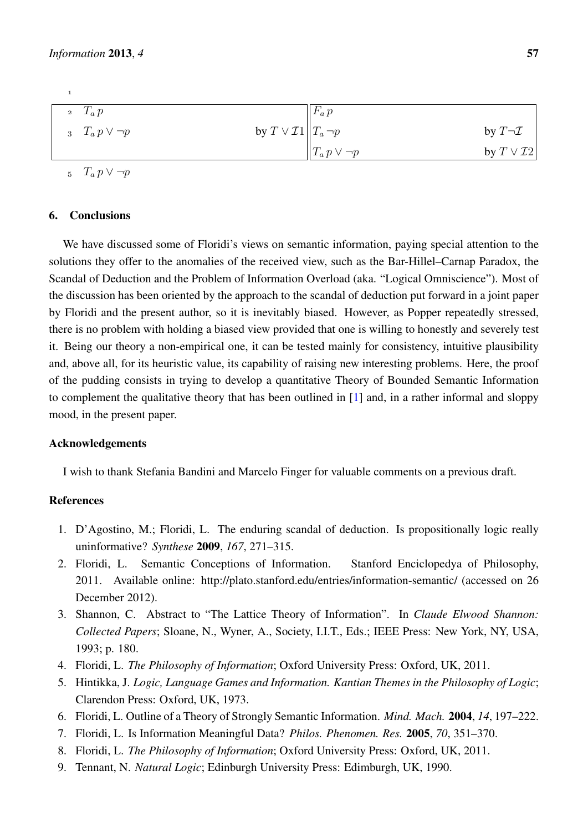| 2 $T_a p$                                                     | $ F_a p $             |                        |
|---------------------------------------------------------------|-----------------------|------------------------|
| by $T \vee \mathcal{I}1  T_a \neg p$<br>3 $T_a p \vee \neg p$ |                       | by $T\neg \mathcal{I}$ |
|                                                               | $  T_a p \vee \neg p$ | by $T \vee T2$         |

5  $T_a p \vee \neg p$ 

## 6. Conclusions

We have discussed some of Floridi's views on semantic information, paying special attention to the solutions they offer to the anomalies of the received view, such as the Bar-Hillel–Carnap Paradox, the Scandal of Deduction and the Problem of Information Overload (aka. "Logical Omniscience"). Most of the discussion has been oriented by the approach to the scandal of deduction put forward in a joint paper by Floridi and the present author, so it is inevitably biased. However, as Popper repeatedly stressed, there is no problem with holding a biased view provided that one is willing to honestly and severely test it. Being our theory a non-empirical one, it can be tested mainly for consistency, intuitive plausibility and, above all, for its heuristic value, its capability of raising new interesting problems. Here, the proof of the pudding consists in trying to develop a quantitative Theory of Bounded Semantic Information to complement the qualitative theory that has been outlined in [\[1\]](#page-24-0) and, in a rather informal and sloppy mood, in the present paper.

## Acknowledgements

I wish to thank Stefania Bandini and Marcelo Finger for valuable comments on a previous draft.

# References

- <span id="page-24-0"></span>1. D'Agostino, M.; Floridi, L. The enduring scandal of deduction. Is propositionally logic really uninformative? *Synthese* 2009, *167*, 271–315.
- <span id="page-24-1"></span>2. Floridi, L. Semantic Conceptions of Information. Stanford Enciclopedya of Philosophy, 2011. Available online: http://plato.stanford.edu/entries/information-semantic/ (accessed on 26 December 2012).
- <span id="page-24-2"></span>3. Shannon, C. Abstract to "The Lattice Theory of Information". In *Claude Elwood Shannon: Collected Papers*; Sloane, N., Wyner, A., Society, I.I.T., Eds.; IEEE Press: New York, NY, USA, 1993; p. 180.
- <span id="page-24-3"></span>4. Floridi, L. *The Philosophy of Information*; Oxford University Press: Oxford, UK, 2011.
- <span id="page-24-4"></span>5. Hintikka, J. *Logic, Language Games and Information. Kantian Themes in the Philosophy of Logic*; Clarendon Press: Oxford, UK, 1973.
- <span id="page-24-5"></span>6. Floridi, L. Outline of a Theory of Strongly Semantic Information. *Mind. Mach.* 2004, *14*, 197–222.
- <span id="page-24-8"></span>7. Floridi, L. Is Information Meaningful Data? *Philos. Phenomen. Res.* 2005, *70*, 351–370.
- <span id="page-24-6"></span>8. Floridi, L. *The Philosophy of Information*; Oxford University Press: Oxford, UK, 2011.
- <span id="page-24-7"></span>9. Tennant, N. *Natural Logic*; Edinburgh University Press: Edimburgh, UK, 1990.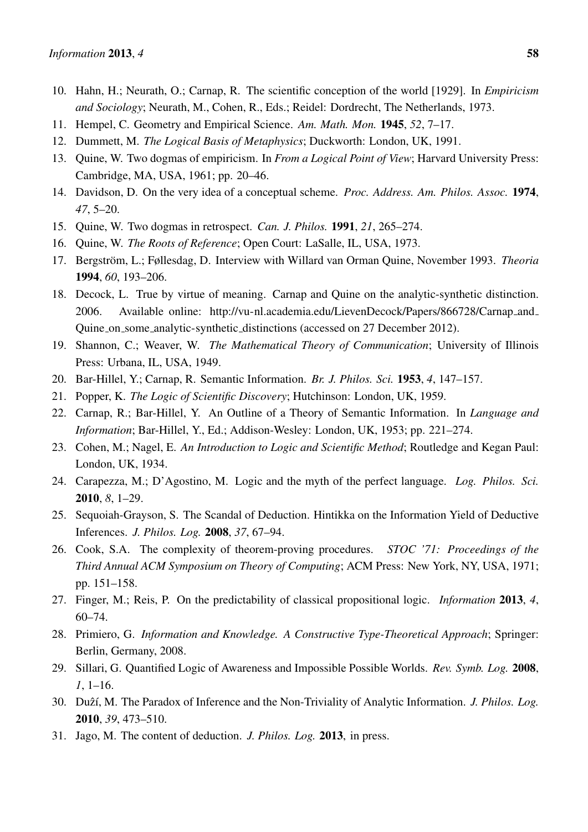- <span id="page-25-0"></span>10. Hahn, H.; Neurath, O.; Carnap, R. The scientific conception of the world [1929]. In *Empiricism and Sociology*; Neurath, M., Cohen, R., Eds.; Reidel: Dordrecht, The Netherlands, 1973.
- <span id="page-25-1"></span>11. Hempel, C. Geometry and Empirical Science. *Am. Math. Mon.* 1945, *52*, 7–17.
- <span id="page-25-2"></span>12. Dummett, M. *The Logical Basis of Metaphysics*; Duckworth: London, UK, 1991.
- <span id="page-25-3"></span>13. Quine, W. Two dogmas of empiricism. In *From a Logical Point of View*; Harvard University Press: Cambridge, MA, USA, 1961; pp. 20–46.
- <span id="page-25-4"></span>14. Davidson, D. On the very idea of a conceptual scheme. *Proc. Address. Am. Philos. Assoc.* 1974, *47*, 5–20.
- <span id="page-25-5"></span>15. Quine, W. Two dogmas in retrospect. *Can. J. Philos.* 1991, *21*, 265–274.
- <span id="page-25-6"></span>16. Quine, W. *The Roots of Reference*; Open Court: LaSalle, IL, USA, 1973.
- <span id="page-25-7"></span>17. Bergström, L.; Føllesdag, D. Interview with Willard van Orman Quine, November 1993. *Theoria* 1994, *60*, 193–206.
- <span id="page-25-8"></span>18. Decock, L. True by virtue of meaning. Carnap and Quine on the analytic-synthetic distinction. 2006. Available online: [http://vu-nl.academia.edu/LievenDecock/Papers/866728/Carnap](http://vu-nl.academia.edu/LievenDecock/Papers/866728/Carnap_and_Quine_o n_some_analytic-synthetic_distinctions) and Quine on some [analytic-synthetic](http://vu-nl.academia.edu/LievenDecock/Papers/866728/Carnap_and_Quine_o n_some_analytic-synthetic_distinctions) distinctions (accessed on 27 December 2012).
- <span id="page-25-9"></span>19. Shannon, C.; Weaver, W. *The Mathematical Theory of Communication*; University of Illinois Press: Urbana, IL, USA, 1949.
- <span id="page-25-10"></span>20. Bar-Hillel, Y.; Carnap, R. Semantic Information. *Br. J. Philos. Sci.* 1953, *4*, 147–157.
- <span id="page-25-11"></span>21. Popper, K. *The Logic of Scientific Discovery*; Hutchinson: London, UK, 1959.
- <span id="page-25-12"></span>22. Carnap, R.; Bar-Hillel, Y. An Outline of a Theory of Semantic Information. In *Language and Information*; Bar-Hillel, Y., Ed.; Addison-Wesley: London, UK, 1953; pp. 221–274.
- <span id="page-25-13"></span>23. Cohen, M.; Nagel, E. *An Introduction to Logic and Scientific Method*; Routledge and Kegan Paul: London, UK, 1934.
- <span id="page-25-14"></span>24. Carapezza, M.; D'Agostino, M. Logic and the myth of the perfect language. *Log. Philos. Sci.* 2010, *8*, 1–29.
- <span id="page-25-15"></span>25. Sequoiah-Grayson, S. The Scandal of Deduction. Hintikka on the Information Yield of Deductive Inferences. *J. Philos. Log.* 2008, *37*, 67–94.
- <span id="page-25-16"></span>26. Cook, S.A. The complexity of theorem-proving procedures. *STOC '71: Proceedings of the Third Annual ACM Symposium on Theory of Computing*; ACM Press: New York, NY, USA, 1971; pp. 151–158.
- <span id="page-25-17"></span>27. Finger, M.; Reis, P. On the predictability of classical propositional logic. *Information* 2013, *4*, 60–74.
- <span id="page-25-18"></span>28. Primiero, G. *Information and Knowledge. A Constructive Type-Theoretical Approach*; Springer: Berlin, Germany, 2008.
- <span id="page-25-19"></span>29. Sillari, G. Quantified Logic of Awareness and Impossible Possible Worlds. *Rev. Symb. Log.* 2008, *1*, 1–16.
- 30. Duzzí, M. The Paradox of Inference and the Non-Triviality of Analytic Information. *J. Philos. Log.* 2010, *39*, 473–510.
- <span id="page-25-20"></span>31. Jago, M. The content of deduction. *J. Philos. Log.* 2013, in press.